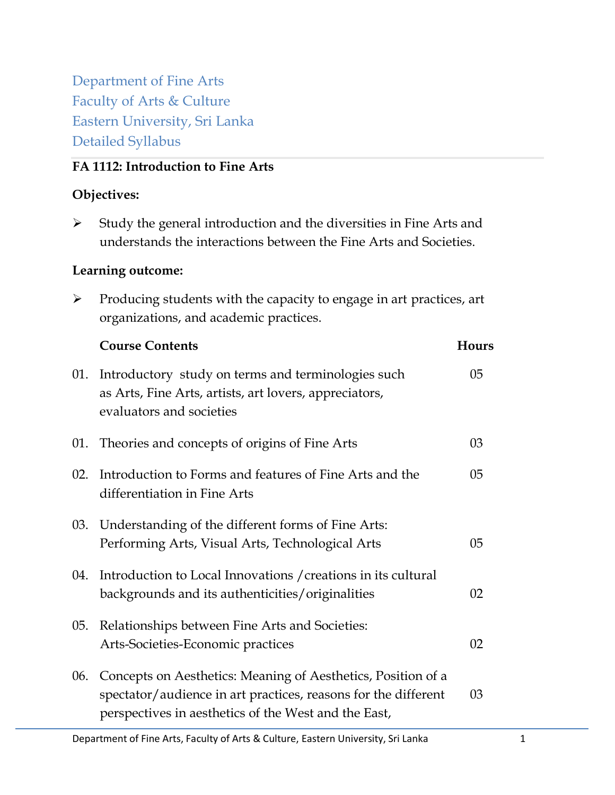Department of Fine Arts Faculty of Arts & Culture Eastern University, Sri Lanka Detailed Syllabus

# **FA 1112: Introduction to Fine Arts**

# **Objectives:**

 $\triangleright$  Study the general introduction and the diversities in Fine Arts and understands the interactions between the Fine Arts and Societies.

# **Learning outcome:**

 $\triangleright$  Producing students with the capacity to engage in art practices, art organizations, and academic practices.

|     | <b>Course Contents</b>                                                                                                                                                                 | Hours          |
|-----|----------------------------------------------------------------------------------------------------------------------------------------------------------------------------------------|----------------|
| 01. | Introductory study on terms and terminologies such<br>as Arts, Fine Arts, artists, art lovers, appreciators,<br>evaluators and societies                                               | 05             |
| 01. | Theories and concepts of origins of Fine Arts                                                                                                                                          | 03             |
| 02. | Introduction to Forms and features of Fine Arts and the<br>differentiation in Fine Arts                                                                                                | 05             |
| 03. | Understanding of the different forms of Fine Arts:<br>Performing Arts, Visual Arts, Technological Arts                                                                                 | 0 <sub>5</sub> |
| 04. | Introduction to Local Innovations / creations in its cultural<br>backgrounds and its authenticities/originalities                                                                      | 02             |
| 05. | Relationships between Fine Arts and Societies:<br>Arts-Societies-Economic practices                                                                                                    | 02             |
| 06. | Concepts on Aesthetics: Meaning of Aesthetics, Position of a<br>spectator/audience in art practices, reasons for the different<br>perspectives in aesthetics of the West and the East, | 03             |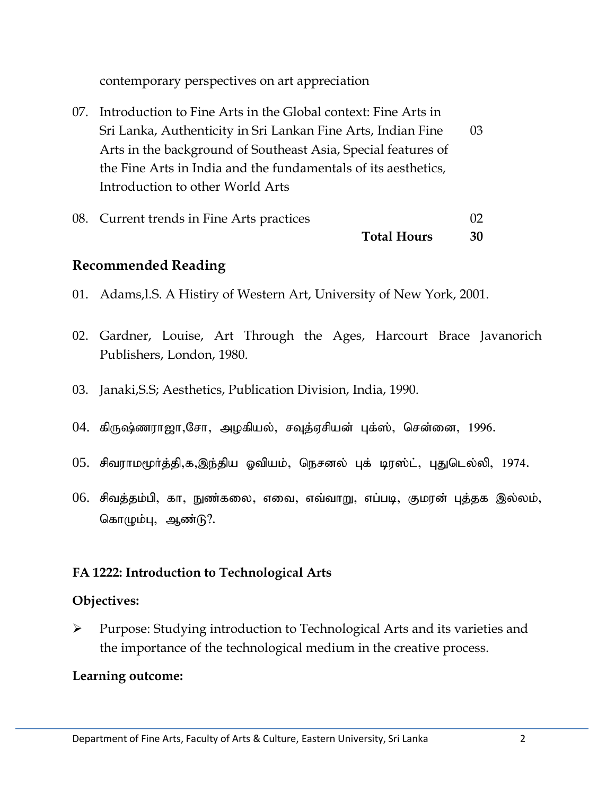contemporary perspectives on art appreciation

07. Introduction to Fine Arts in the Global context: Fine Arts in Sri Lanka, Authenticity in Sri Lankan Fine Arts, Indian Fine 03 Arts in the background of Southeast Asia, Special features of the Fine Arts in India and the fundamentals of its aesthetics, Introduction to other World Arts

| 08. Current trends in Fine Arts practices |                    | 02 |
|-------------------------------------------|--------------------|----|
|                                           | <b>Total Hours</b> | 30 |

# **Recommended Reading**

- 01. Adams,l.S. A Histiry of Western Art, University of New York, 2001.
- 02. Gardner, Louise, Art Through the Ages, Harcourt Brace Javanorich Publishers, London, 1980.
- 03. Janaki,S.S; Aesthetics, Publication Division, India, 1990.
- $04$ . கிருஷ்ணராஜா,சோ, அழகியல், சவுத்ஏசியன் புக்ஸ், சென்னை, 1996.
- $05.$  சிவராமமூர்த்தி,க,இந்திய ஓவியம், நெசனல் புக் டிரஸ்ட், புதுடெல்லி, 1974.
- $06.$  சிவத்தம்பி, கா, நுண்கலை, எவை, எவ்வாறு, எப்படி, குமரன் புத்தக இல்லம், கொழும்பு, ஆண்டு?.

# **FA 1222: Introduction to Technological Arts**

## **Objectives:**

 Purpose: Studying introduction to Technological Arts and its varieties and the importance of the technological medium in the creative process.

# **Learning outcome:**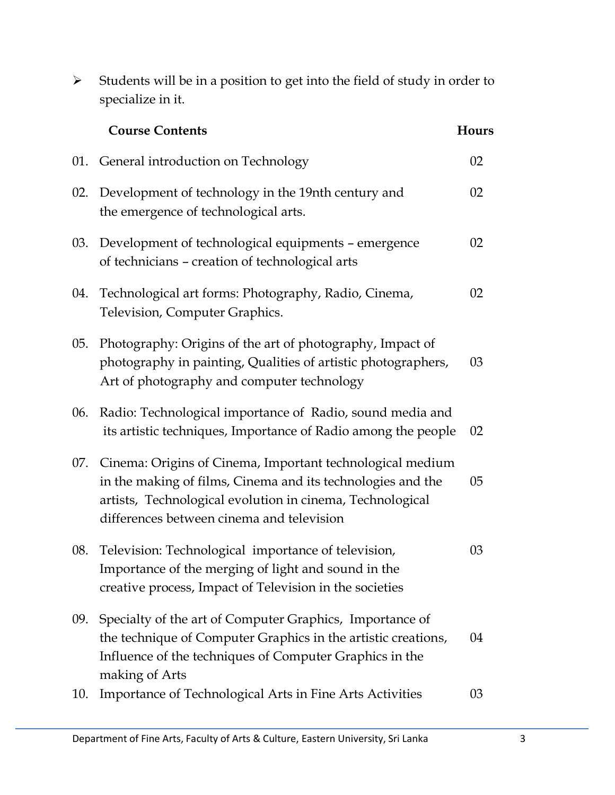|     | specialize in it.                                                                                                                                                                                                                  |       |
|-----|------------------------------------------------------------------------------------------------------------------------------------------------------------------------------------------------------------------------------------|-------|
|     | <b>Course Contents</b>                                                                                                                                                                                                             | Hours |
| 01. | General introduction on Technology                                                                                                                                                                                                 | 02    |
|     | 02. Development of technology in the 19nth century and<br>the emergence of technological arts.                                                                                                                                     | 02    |
|     | 03. Development of technological equipments – emergence<br>of technicians – creation of technological arts                                                                                                                         | 02    |
| 04. | Technological art forms: Photography, Radio, Cinema,<br>Television, Computer Graphics.                                                                                                                                             | 02    |
| 05. | Photography: Origins of the art of photography, Impact of<br>photography in painting, Qualities of artistic photographers,<br>Art of photography and computer technology                                                           | 03    |
| 06. | Radio: Technological importance of Radio, sound media and<br>its artistic techniques, Importance of Radio among the people                                                                                                         | 02    |
| 07. | Cinema: Origins of Cinema, Important technological medium<br>in the making of films, Cinema and its technologies and the<br>artists, Technological evolution in cinema, Technological<br>differences between cinema and television | 05    |
| 08. | Television: Technological importance of television,<br>Importance of the merging of light and sound in the<br>creative process, Impact of Television in the societies                                                              | 03    |
| 09. | Specialty of the art of Computer Graphics, Importance of<br>the technique of Computer Graphics in the artistic creations,<br>Influence of the techniques of Computer Graphics in the<br>making of Arts                             | 04    |
| 10. | Importance of Technological Arts in Fine Arts Activities                                                                                                                                                                           | 03    |

 $\triangleright$  Students will be in a position to get into the field of study in order to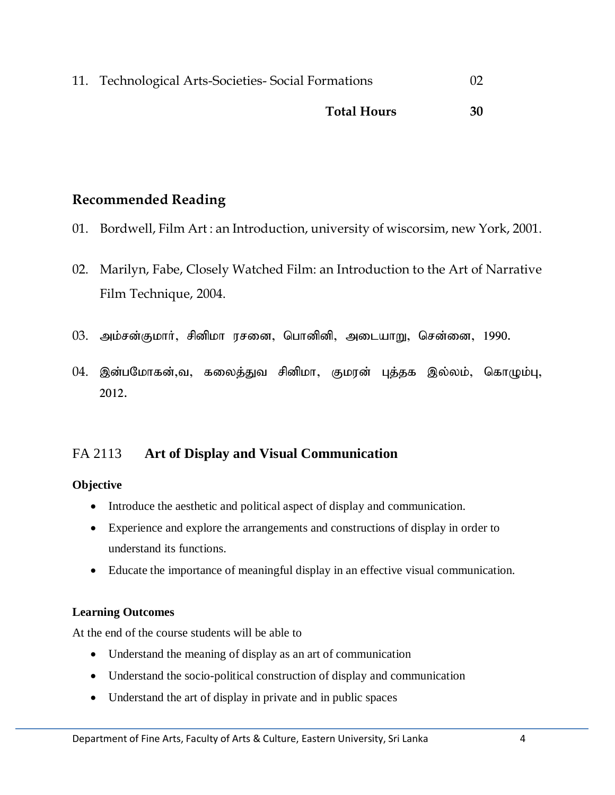| 11. Technological Arts-Societies- Social Formations | $\Gamma$ |
|-----------------------------------------------------|----------|
| <b>Total Hours</b>                                  | 30       |

# **Recommended Reading**

- 01. Bordwell, Film Art : an Introduction, university of wiscorsim, new York, 2001.
- 02. Marilyn, Fabe, Closely Watched Film: an Introduction to the Art of Narrative Film Technique, 2004.
- 03. அம்சன்குமார், சினிமா ரசனை, பொனினி, அடையாறு, சென்னை, 1990.
- 04. இன்பமோகன்,வ, கலைத்துவ சினிமா, குமரன் புத்தக இல்லம், கொழும்பு, 2012.

# FA 2113 **Art of Display and Visual Communication**

## **Objective**

- Introduce the aesthetic and political aspect of display and communication.
- Experience and explore the arrangements and constructions of display in order to understand its functions.
- Educate the importance of meaningful display in an effective visual communication.

## **Learning Outcomes**

At the end of the course students will be able to

- Understand the meaning of display as an art of communication
- Understand the socio-political construction of display and communication
- Understand the art of display in private and in public spaces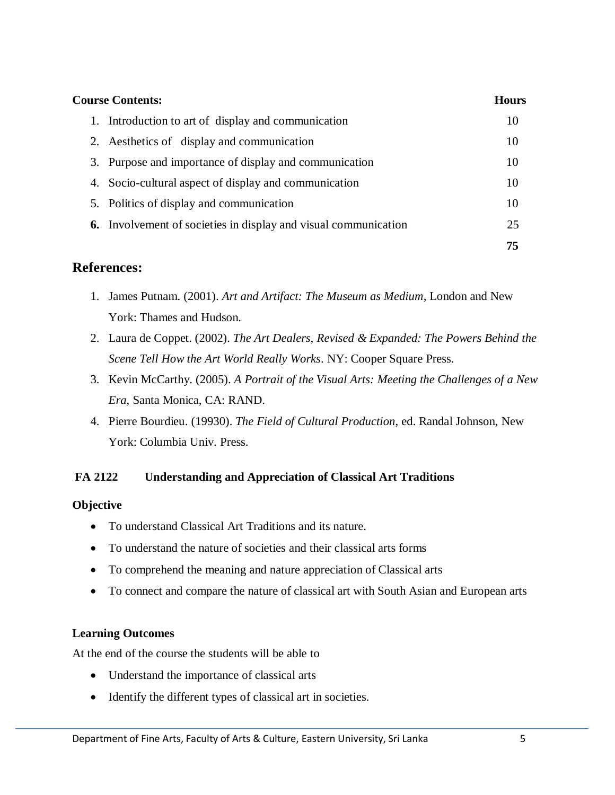| <b>Course Contents:</b>                                                |    |
|------------------------------------------------------------------------|----|
| 1. Introduction to art of display and communication                    | 10 |
| 2. Aesthetics of display and communication                             | 10 |
| Purpose and importance of display and communication<br>3.              | 10 |
| 4. Socio-cultural aspect of display and communication                  | 10 |
| 5. Politics of display and communication                               | 10 |
| <b>6.</b> Involvement of societies in display and visual communication | 25 |
|                                                                        | 75 |

- 1. James Putnam. (2001). *Art and Artifact: The Museum as Medium,* London and New York: Thames and Hudson.
- 2. Laura de Coppet. (2002). *The Art Dealers, Revised & Expanded: The Powers Behind the Scene Tell How the Art World Really Works*. NY: Cooper Square Press.
- 3. Kevin McCarthy. (2005). *A Portrait of the Visual Arts: Meeting the Challenges of a New Era*, Santa Monica, CA: RAND.
- 4. Pierre Bourdieu. (19930). *The Field of Cultural Production*, ed. Randal Johnson, New York: Columbia Univ. Press.

## **FA 2122 Understanding and Appreciation of Classical Art Traditions**

## **Objective**

- To understand Classical Art Traditions and its nature.
- To understand the nature of societies and their classical arts forms
- To comprehend the meaning and nature appreciation of Classical arts
- To connect and compare the nature of classical art with South Asian and European arts

## **Learning Outcomes**

At the end of the course the students will be able to

- Understand the importance of classical arts
- Identify the different types of classical art in societies.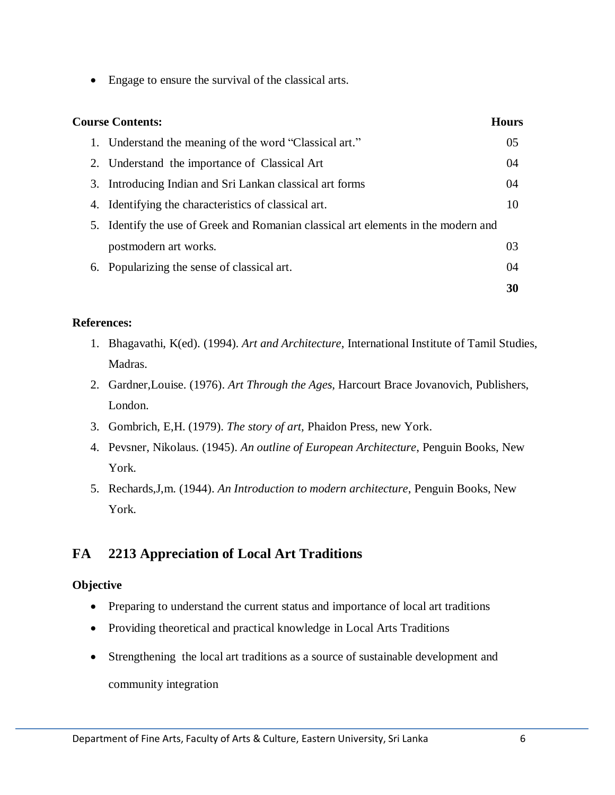• Engage to ensure the survival of the classical arts.

| <b>Course Contents:</b><br>Hours                                                   |    |
|------------------------------------------------------------------------------------|----|
| 1. Understand the meaning of the word "Classical art."                             | 05 |
| 2. Understand the importance of Classical Art                                      | 04 |
| 3. Introducing Indian and Sri Lankan classical art forms                           | 04 |
| 4. Identifying the characteristics of classical art.                               | 10 |
| 5. Identify the use of Greek and Romanian classical art elements in the modern and |    |
| postmodern art works.                                                              | 03 |
| 6. Popularizing the sense of classical art.                                        | 04 |
|                                                                                    | 30 |

#### **References:**

- 1. Bhagavathi, K(ed). (1994). *Art and Architecture*, International Institute of Tamil Studies, Madras.
- 2. Gardner,Louise. (1976). *Art Through the Ages,* Harcourt Brace Jovanovich, Publishers, London.
- 3. Gombrich, E,H. (1979). *The story of art,* Phaidon Press, new York.
- 4. Pevsner, Nikolaus. (1945). *An outline of European Architecture*, Penguin Books, New York.
- 5. Rechards,J,m. (1944). *An Introduction to modern architecture*, Penguin Books, New York.

# **FA 2213 Appreciation of Local Art Traditions**

## **Objective**

- Preparing to understand the current status and importance of local art traditions
- Providing theoretical and practical knowledge in Local Arts Traditions
- Strengthening the local art traditions as a source of sustainable development and community integration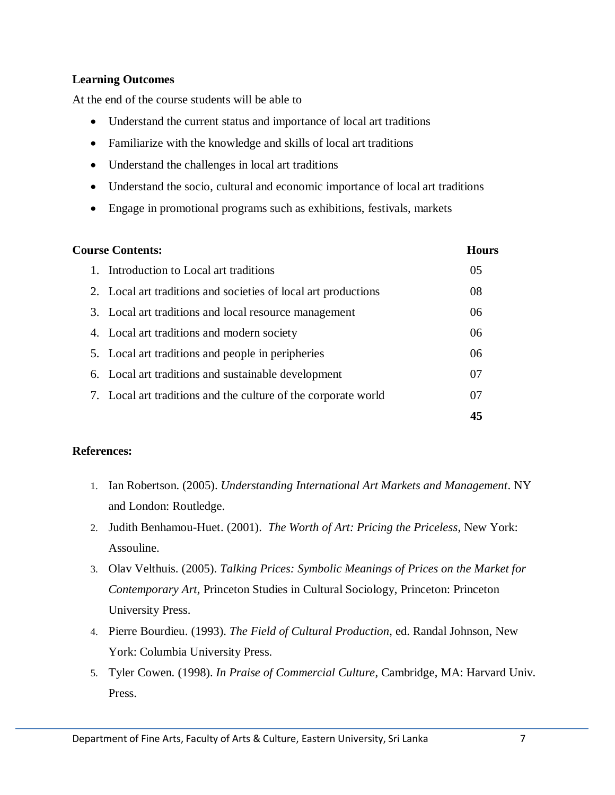## **Learning Outcomes**

At the end of the course students will be able to

- Understand the current status and importance of local art traditions
- Familiarize with the knowledge and skills of local art traditions
- Understand the challenges in local art traditions
- Understand the socio, cultural and economic importance of local art traditions
- Engage in promotional programs such as exhibitions, festivals, markets

| <b>Course Contents:</b> |                                                                | <b>Hours</b>   |
|-------------------------|----------------------------------------------------------------|----------------|
|                         | 1. Introduction to Local art traditions                        | 0 <sub>5</sub> |
|                         | 2. Local art traditions and societies of local art productions | 08             |
|                         | 3. Local art traditions and local resource management          | 06             |
|                         | 4. Local art traditions and modern society                     | 06             |
|                         | 5. Local art traditions and people in peripheries              | 06             |
|                         | 6. Local art traditions and sustainable development            | 07             |
|                         | 7. Local art traditions and the culture of the corporate world | 07             |
|                         |                                                                | 45             |

- 1. Ian Robertson. (2005). *Understanding International Art Markets and Management*. NY and London: Routledge.
- 2. Judith Benhamou-Huet. (2001). *The Worth of Art: Pricing the Priceless*, New York: Assouline.
- 3. Olav Velthuis. (2005). *Talking Prices: Symbolic Meanings of Prices on the Market for Contemporary Art,* Princeton Studies in Cultural Sociology, Princeton: Princeton University Press.
- 4. Pierre Bourdieu. (1993). *The Field of Cultural Production*, ed. Randal Johnson, New York: Columbia University Press.
- 5. Tyler Cowen. (1998). *In Praise of Commercial Culture*, Cambridge, MA: Harvard Univ. Press.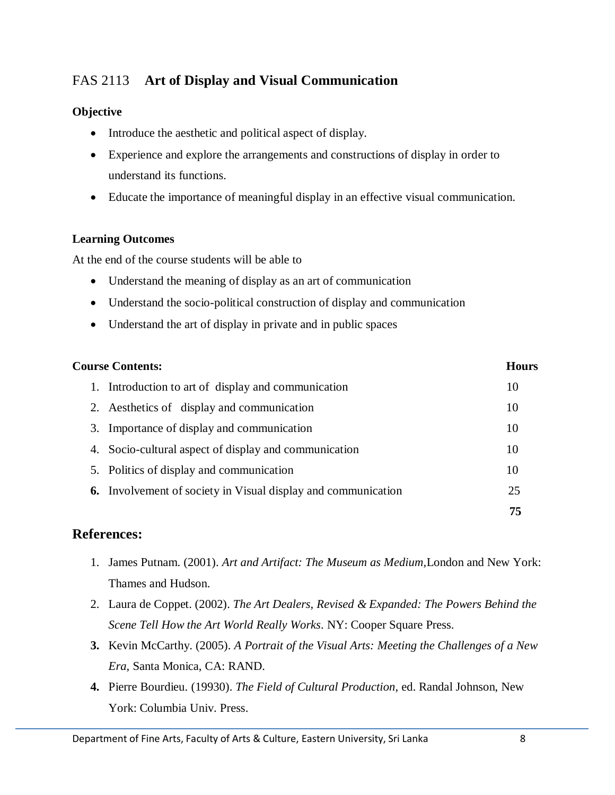# FAS 2113 **Art of Display and Visual Communication**

## **Objective**

- Introduce the aesthetic and political aspect of display.
- Experience and explore the arrangements and constructions of display in order to understand its functions.
- Educate the importance of meaningful display in an effective visual communication.

## **Learning Outcomes**

At the end of the course students will be able to

- Understand the meaning of display as an art of communication
- Understand the socio-political construction of display and communication
- Understand the art of display in private and in public spaces

| <b>Course Contents:</b>                                              |    |
|----------------------------------------------------------------------|----|
| 1. Introduction to art of display and communication                  | 10 |
| 2. Aesthetics of display and communication                           | 10 |
| Importance of display and communication<br>3.                        | 10 |
| 4. Socio-cultural aspect of display and communication                | 10 |
| 5. Politics of display and communication                             | 10 |
| <b>6.</b> Involvement of society in Visual display and communication | 25 |
|                                                                      | 75 |

- 1. James Putnam. (2001). *Art and Artifact: The Museum as Medium,*London and New York: Thames and Hudson.
- 2. Laura de Coppet. (2002). *The Art Dealers, Revised & Expanded: The Powers Behind the Scene Tell How the Art World Really Works*. NY: Cooper Square Press.
- **3.** Kevin McCarthy. (2005). *A Portrait of the Visual Arts: Meeting the Challenges of a New Era*, Santa Monica, CA: RAND.
- **4.** Pierre Bourdieu. (19930). *The Field of Cultural Production*, ed. Randal Johnson, New York: Columbia Univ. Press.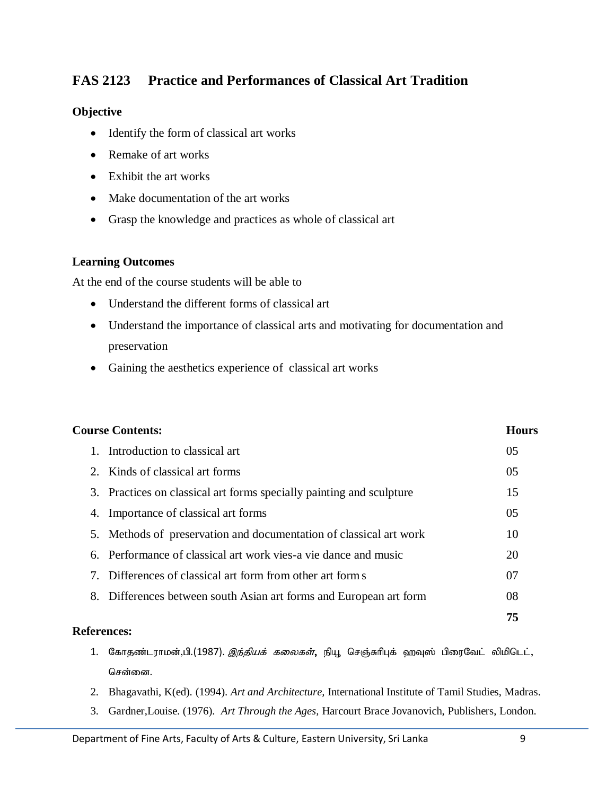# **FAS 2123 Practice and Performances of Classical Art Tradition**

#### **Objective**

- Identify the form of classical art works
- Remake of art works
- Exhibit the art works
- Make documentation of the art works
- Grasp the knowledge and practices as whole of classical art

#### **Learning Outcomes**

At the end of the course students will be able to

- Understand the different forms of classical art
- Understand the importance of classical arts and motivating for documentation and preservation
- Gaining the aesthetics experience of classical art works

| <b>Course Contents:</b> |                                                                                                                                                                                                                                                                                                                                                   |
|-------------------------|---------------------------------------------------------------------------------------------------------------------------------------------------------------------------------------------------------------------------------------------------------------------------------------------------------------------------------------------------|
|                         | 0 <sub>5</sub>                                                                                                                                                                                                                                                                                                                                    |
|                         | 05                                                                                                                                                                                                                                                                                                                                                |
|                         | 15                                                                                                                                                                                                                                                                                                                                                |
|                         | 05                                                                                                                                                                                                                                                                                                                                                |
|                         | 10                                                                                                                                                                                                                                                                                                                                                |
|                         | 20                                                                                                                                                                                                                                                                                                                                                |
|                         | 07                                                                                                                                                                                                                                                                                                                                                |
|                         | 08                                                                                                                                                                                                                                                                                                                                                |
|                         | 75                                                                                                                                                                                                                                                                                                                                                |
|                         | 3. Practices on classical art forms specially painting and sculpture<br>5. Methods of preservation and documentation of classical art work<br>6. Performance of classical art work vies-a vie dance and music<br>7. Differences of classical art form from other art form s<br>8. Differences between south Asian art forms and European art form |

- 1. கோதண்டராமன்,பி.(1987). *இந்தியக் கலைகள்*, நியூ செஞ்சுரிபுக் ஹவுஸ் பிரைவேட் லிமிடெட், சென்னை.
- 2. Bhagavathi, K(ed). (1994). *Art and Architecture,* International Institute of Tamil Studies, Madras.
- 3. Gardner,Louise. (1976). *Art Through the Ages,* Harcourt Brace Jovanovich, Publishers, London.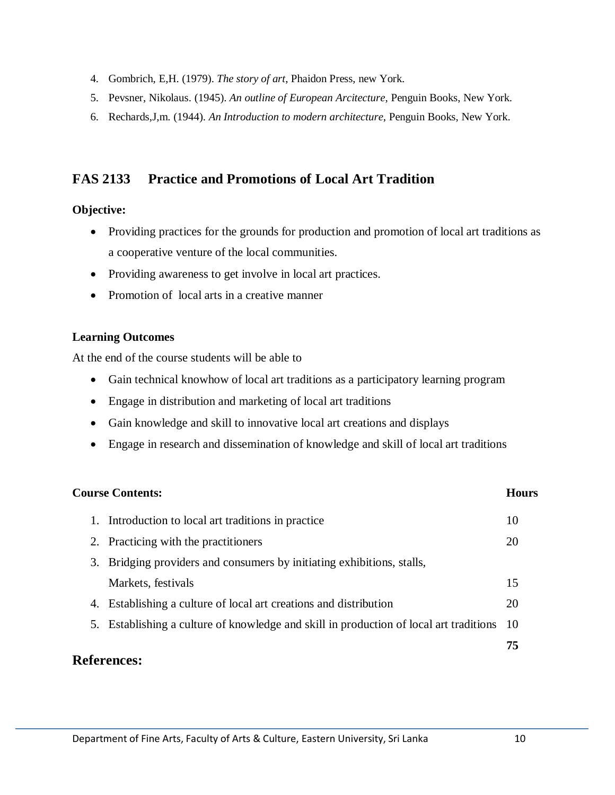- 4. Gombrich, E,H. (1979). *The story of art*, Phaidon Press, new York.
- 5. Pevsner, Nikolaus. (1945). *An outline of European Arcitecture*, Penguin Books, New York.
- 6. Rechards,J,m. (1944). *An Introduction to modern architecture*, Penguin Books, New York.

# **FAS 2133 Practice and Promotions of Local Art Tradition**

#### **Objective:**

- Providing practices for the grounds for production and promotion of local art traditions as a cooperative venture of the local communities.
- Providing awareness to get involve in local art practices.
- Promotion of local arts in a creative manner

#### **Learning Outcomes**

At the end of the course students will be able to

- Gain technical knowhow of local art traditions as a participatory learning program
- Engage in distribution and marketing of local art traditions
- Gain knowledge and skill to innovative local art creations and displays
- Engage in research and dissemination of knowledge and skill of local art traditions

| <b>Course Contents:</b> |                                                                                           | Hours |
|-------------------------|-------------------------------------------------------------------------------------------|-------|
|                         | 1. Introduction to local art traditions in practice                                       | 10    |
|                         | 2. Practicing with the practitioners                                                      | 20    |
| 3.                      | Bridging providers and consumers by initiating exhibitions, stalls,                       |       |
|                         | Markets, festivals                                                                        | 15    |
| 4.                      | Establishing a culture of local art creations and distribution                            | 20    |
|                         | 5. Establishing a culture of knowledge and skill in production of local art traditions 10 |       |
|                         |                                                                                           | 75    |
|                         |                                                                                           |       |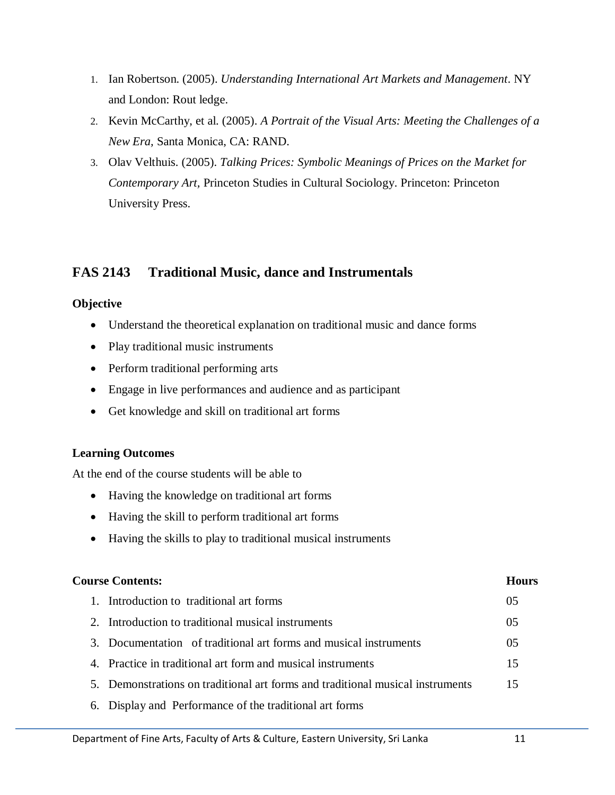- 1. Ian Robertson. (2005). *Understanding International Art Markets and Management*. NY and London: Rout ledge.
- 2. Kevin McCarthy, et al. (2005). *A Portrait of the Visual Arts: Meeting the Challenges of a New Era,* Santa Monica, CA: RAND.
- 3. Olav Velthuis. (2005). *Talking Prices: Symbolic Meanings of Prices on the Market for Contemporary Art,* Princeton Studies in Cultural Sociology. Princeton: Princeton University Press.

# **FAS 2143 Traditional Music, dance and Instrumentals**

## **Objective**

- Understand the theoretical explanation on traditional music and dance forms
- Play traditional music instruments
- Perform traditional performing arts
- Engage in live performances and audience and as participant
- Get knowledge and skill on traditional art forms

## **Learning Outcomes**

At the end of the course students will be able to

- Having the knowledge on traditional art forms
- Having the skill to perform traditional art forms
- Having the skills to play to traditional musical instruments

## **Course Contents: Hours**

- 1. Introduction to traditional art forms 05 2. Introduction to traditional musical instruments 05
- 3. Documentation of traditional art forms and musical instruments 05
- 4. Practice in traditional art form and musical instruments 15
- 5. Demonstrations on traditional art forms and traditional musical instruments 15
- 6. Display and Performance of the traditional art forms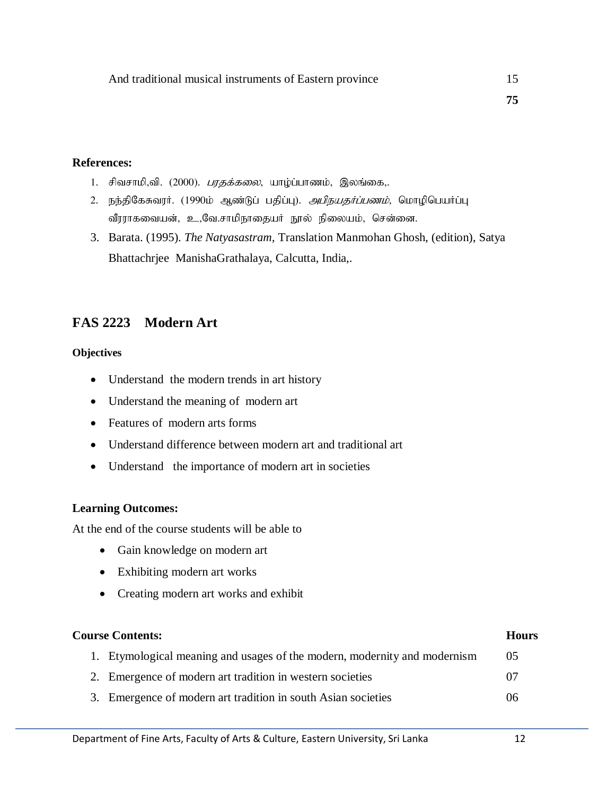- 1. சிவசாமி,வி. (2000). *பரதக்கலை*, யாழ்ப்பாணம், இலங்கை,.
- 2. நந்திகேசுவரர். (1990ம் ஆண்டுப் பதிப்பு). *அபிநயதர்ப்பணம்,* மொழிபெயர்ப்பு வீரராகவையன், உ,வே.சாமிநாதையர் நூல் நிலையம், சென்னை.
- 3. Barata. (1995). *The Natyasastram,* Translation Manmohan Ghosh, (edition), Satya Bhattachrjee ManishaGrathalaya, Calcutta, India,.

## **FAS 2223 Modern Art**

#### **Objectives**

- Understand the modern trends in art history
- Understand the meaning of modern art
- Features of modern arts forms
- Understand difference between modern art and traditional art
- Understand the importance of modern art in societies

#### **Learning Outcomes:**

At the end of the course students will be able to

- Gain knowledge on modern art
- Exhibiting modern art works
- Creating modern art works and exhibit

#### **Course Contents: Hours**

- 1. Etymological meaning and usages of the modern, modernity and modernism 05
- 2. Emergence of modern art tradition in western societies 07
- 3. Emergence of modern art tradition in south Asian societies 06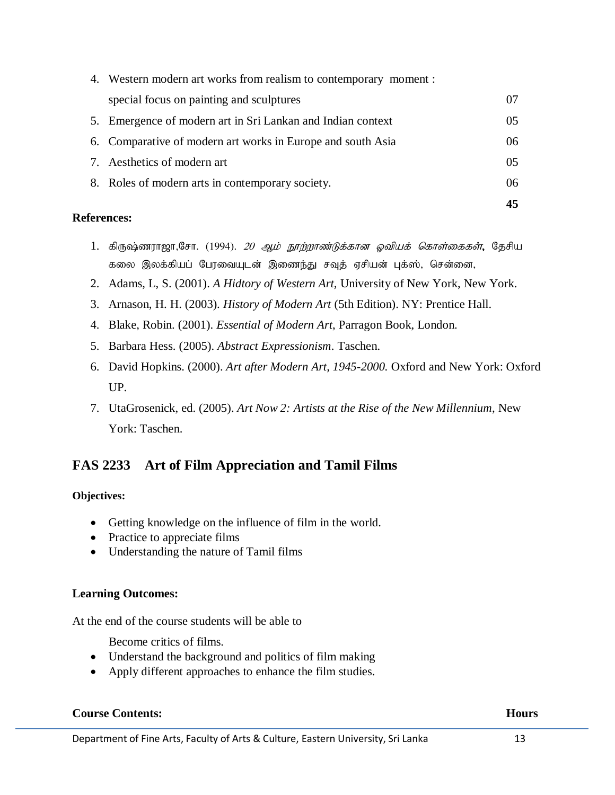|                                                                  | 45             |
|------------------------------------------------------------------|----------------|
| 8. Roles of modern arts in contemporary society.                 | 06             |
| 7. Aesthetics of modern art                                      | 0 <sub>5</sub> |
| 6. Comparative of modern art works in Europe and south Asia      | 06             |
| 5. Emergence of modern art in Sri Lankan and Indian context      | 0 <sub>5</sub> |
| special focus on painting and sculptures                         | 07             |
| 4. Western modern art works from realism to contemporary moment: |                |

- 1. கிருஷ்ணராஜா,சோ. (1994). *20 ஆம் நூற்றாண்டுக்கான ஓவியக் கொள்கைகள்*, தேசிய கலை இலக்கியப் பேரவையுடன் இணைந்து சவுத் ஏசியன் புக்ஸ், சென்னை,
- 2. Adams, L, S. (2001). *A Hidtory of Western Art,* University of New York, New York.
- 3. Arnason, H. H. (2003). *History of Modern Art* (5th Edition). NY: Prentice Hall.
- 4. Blake, Robin. (2001). *Essential of Modern Art*, Parragon Book, London.
- 5. Barbara Hess. (2005). *Abstract Expressionism*. Taschen.
- 6. David Hopkins. (2000). *Art after Modern Art, 1945-2000.* Oxford and New York: Oxford UP.
- 7. UtaGrosenick, ed. (2005). *Art Now 2: Artists at the Rise of the New Millennium*, New York: Taschen.

# **FAS 2233 Art of Film Appreciation and Tamil Films**

## **Objectives:**

- Getting knowledge on the influence of film in the world.
- Practice to appreciate films
- Understanding the nature of Tamil films

## **Learning Outcomes:**

At the end of the course students will be able to

Become critics of films.

- Understand the background and politics of film making
- Apply different approaches to enhance the film studies.

## **Course Contents: Hours**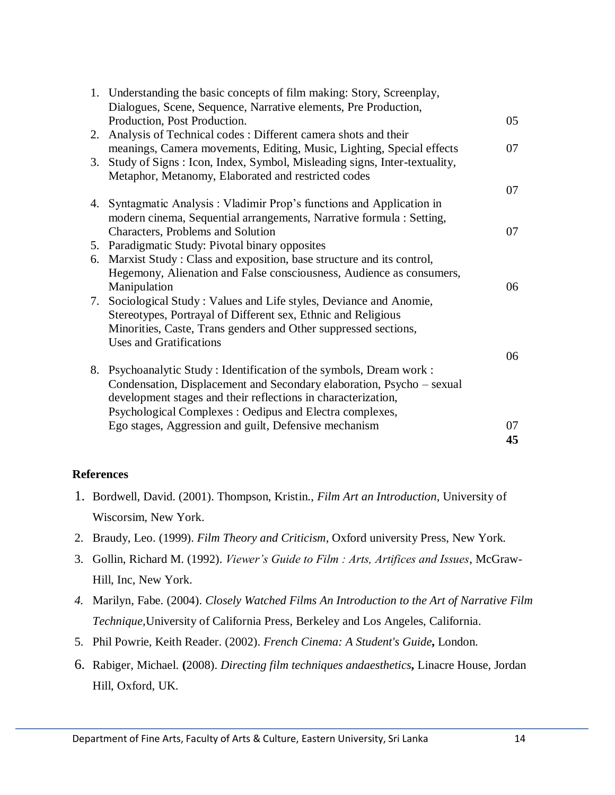|    | 1. Understanding the basic concepts of film making: Story, Screenplay,                                                           |    |
|----|----------------------------------------------------------------------------------------------------------------------------------|----|
|    | Dialogues, Scene, Sequence, Narrative elements, Pre Production,<br>Production, Post Production.                                  | 05 |
|    | 2. Analysis of Technical codes: Different camera shots and their                                                                 |    |
|    | meanings, Camera movements, Editing, Music, Lighting, Special effects                                                            | 07 |
| 3. | Study of Signs : Icon, Index, Symbol, Misleading signs, Inter-textuality,<br>Metaphor, Metanomy, Elaborated and restricted codes |    |
|    |                                                                                                                                  | 07 |
|    | 4. Syntagmatic Analysis: Vladimir Prop's functions and Application in                                                            |    |
|    | modern cinema, Sequential arrangements, Narrative formula : Setting,                                                             |    |
|    | Characters, Problems and Solution                                                                                                | 07 |
|    | 5. Paradigmatic Study: Pivotal binary opposites                                                                                  |    |
|    | 6. Marxist Study: Class and exposition, base structure and its control,                                                          |    |
|    | Hegemony, Alienation and False consciousness, Audience as consumers,                                                             |    |
|    | Manipulation                                                                                                                     | 06 |
|    | 7. Sociological Study: Values and Life styles, Deviance and Anomie,                                                              |    |
|    | Stereotypes, Portrayal of Different sex, Ethnic and Religious                                                                    |    |
|    | Minorities, Caste, Trans genders and Other suppressed sections,                                                                  |    |
|    | <b>Uses and Gratifications</b>                                                                                                   |    |
|    |                                                                                                                                  | 06 |
|    | 8. Psychoanalytic Study: Identification of the symbols, Dream work:                                                              |    |
|    | Condensation, Displacement and Secondary elaboration, Psycho – sexual                                                            |    |
|    | development stages and their reflections in characterization,                                                                    |    |
|    | Psychological Complexes : Oedipus and Electra complexes,                                                                         |    |
|    | Ego stages, Aggression and guilt, Defensive mechanism                                                                            | 07 |
|    |                                                                                                                                  | 45 |

- 1. Bordwell, David. (2001). Thompson, Kristin., *Film Art an Introduction*, University of Wiscorsim, New York.
- 2. Braudy, Leo. (1999). *Film Theory and Criticism*, Oxford university Press, New York.
- 3. Gollin, Richard M. (1992). *Viewer's Guide to Film : Arts, Artifices and Issues*, McGraw-Hill, Inc, New York.
- *4.* Marilyn, Fabe. (2004). *Closely Watched Films An Introduction to the Art of Narrative Film Technique,*University of California Press, Berkeley and Los Angeles, California.
- 5. Phil Powrie, Keith Reader. (2002). *French Cinema: A Student's Guide***,** London.
- 6. Rabiger, Michael. **(**2008). *Directing film techniques andaesthetics***,** Linacre House, Jordan Hill, Oxford, UK.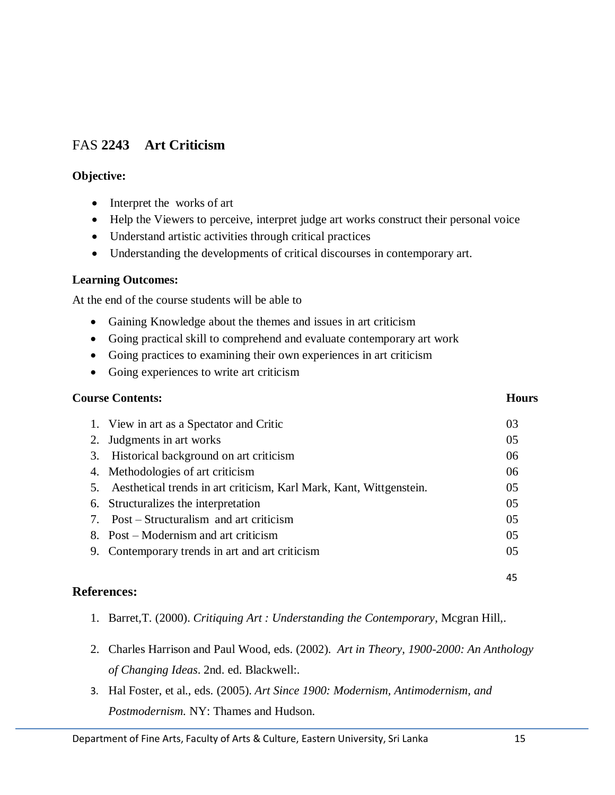# FAS **2243 Art Criticism**

## **Objective:**

- Interpret the works of art
- Help the Viewers to perceive, interpret judge art works construct their personal voice
- Understand artistic activities through critical practices
- Understanding the developments of critical discourses in contemporary art.

## **Learning Outcomes:**

At the end of the course students will be able to

- Gaining Knowledge about the themes and issues in art criticism
- Going practical skill to comprehend and evaluate contemporary art work
- Going practices to examining their own experiences in art criticism
- Going experiences to write art criticism

#### **Course Contents: Hours**

|    | 1. View in art as a Spectator and Critic                            | 03 |
|----|---------------------------------------------------------------------|----|
|    | 2. Judgments in art works                                           | 05 |
| 3. | Historical background on art criticism                              | 06 |
|    | 4. Methodologies of art criticism                                   | 06 |
| 5. | Aesthetical trends in art criticism, Karl Mark, Kant, Wittgenstein. | 05 |
|    | 6. Structuralizes the interpretation                                | 05 |
|    | 7. Post – Structuralism and art criticism                           | 05 |
|    | 8. Post – Modernism and art criticism                               | 05 |
| 9. | Contemporary trends in art and art criticism                        | 05 |
|    |                                                                     |    |
|    |                                                                     | 45 |

- 1. Barret,T. (2000). *Critiquing Art : Understanding the Contemporary*, Mcgran Hill,.
- 2. Charles Harrison and Paul Wood, eds. (2002). *Art in Theory, 1900-2000: An Anthology of Changing Ideas*. 2nd. ed. Blackwell:.
- 3. Hal Foster, et al., eds. (2005). *Art Since 1900: Modernism, Antimodernism, and Postmodernism.* NY: Thames and Hudson.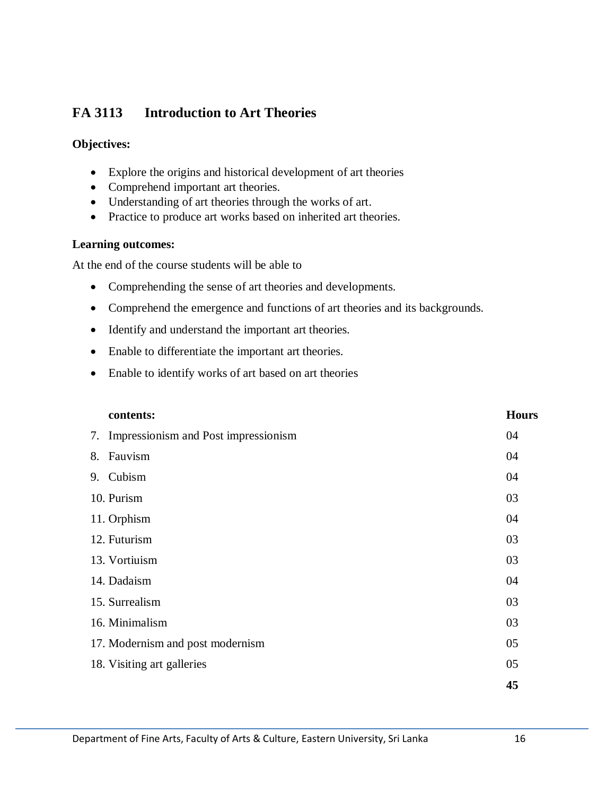# **FA 3113 Introduction to Art Theories**

## **Objectives:**

- Explore the origins and historical development of art theories
- Comprehend important art theories.
- Understanding of art theories through the works of art.
- Practice to produce art works based on inherited art theories.

## **Learning outcomes:**

At the end of the course students will be able to

- Comprehending the sense of art theories and developments.
- Comprehend the emergence and functions of art theories and its backgrounds.
- Identify and understand the important art theories.
- Enable to differentiate the important art theories.
- Enable to identify works of art based on art theories

|    | contents:                               | <b>Hours</b> |
|----|-----------------------------------------|--------------|
|    | 7. Impressionism and Post impressionism | 04           |
| 8. | Fauvism                                 | 04           |
|    | 9. Cubism                               | 04           |
|    | 10. Purism                              | 03           |
|    | 11. Orphism                             | 04           |
|    | 12. Futurism                            | 03           |
|    | 13. Vortiuism                           | 03           |
|    | 14. Dadaism                             | 04           |
|    | 15. Surrealism                          | 03           |
|    | 16. Minimalism                          | 03           |
|    | 17. Modernism and post modernism        | 05           |
|    | 18. Visiting art galleries              | 05           |
|    |                                         | 45           |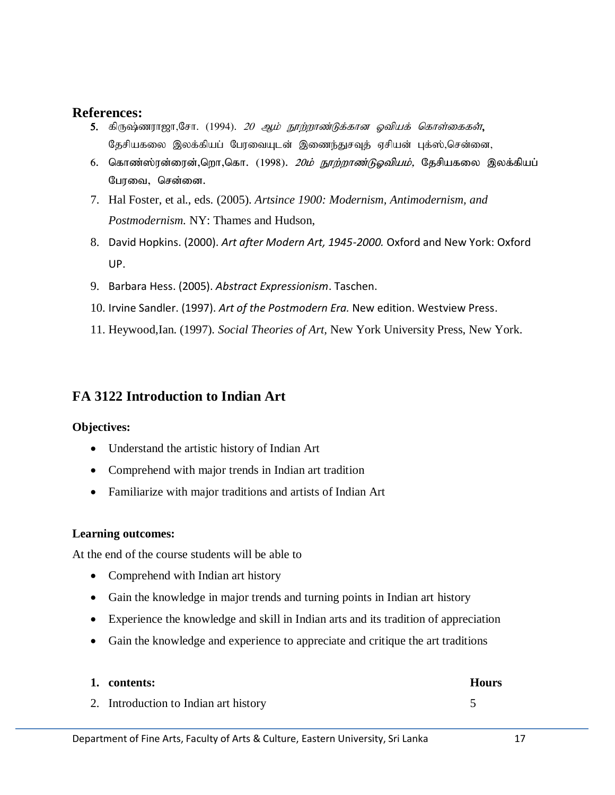- 5. கிருஷ்ணராஜா,சோ. (1994). *20 ஆம் நூற்றாண்டுக்கான ஓவியக் கொள்கைகள்*, தேசியகலை இலக்கியப் பேரவையுடன் இணைந்துசவுத் ஏசியன் புக்ஸ்,சென்னை,
- 6. கொண்ஸ்ரன்ரைன்,றொ,கொ. (1998). *20ம் நூற்றாண்டுஓவியம்,* தேசியகலை இலக்கியப் பேரவை, சென்னை.
- 7. Hal Foster, et al., eds. (2005). *Artsince 1900: Modernism, Antimodernism, and Postmodernism.* NY: Thames and Hudson,
- 8. David Hopkins. (2000). *Art after Modern Art, 1945-2000.* Oxford and New York: Oxford UP.
- 9. Barbara Hess. (2005). *Abstract Expressionism*. Taschen.
- 10. Irvine Sandler. (1997). *Art of the Postmodern Era.* New edition. Westview Press.
- 11. Heywood,Ian. (1997). *Social Theories of Art,* New York University Press, New York.

# **FA 3122 Introduction to Indian Art**

#### **Objectives:**

- Understand the artistic history of Indian Art
- Comprehend with major trends in Indian art tradition
- Familiarize with major traditions and artists of Indian Art

#### **Learning outcomes:**

At the end of the course students will be able to

- Comprehend with Indian art history
- Gain the knowledge in major trends and turning points in Indian art history
- Experience the knowledge and skill in Indian arts and its tradition of appreciation
- Gain the knowledge and experience to appreciate and critique the art traditions

| 1. contents:                          | <b>Hours</b> |
|---------------------------------------|--------------|
| 2. Introduction to Indian art history |              |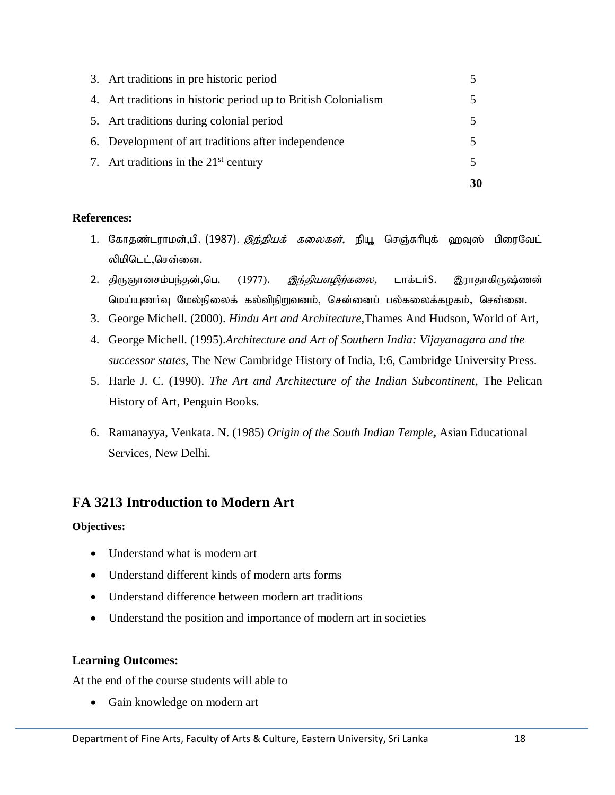| 7. Art traditions in the $21st$ century                        |  |
|----------------------------------------------------------------|--|
| 6. Development of art traditions after independence            |  |
| 5. Art traditions during colonial period                       |  |
| 4. Art traditions in historic period up to British Colonialism |  |
| 3. Art traditions in pre historic period                       |  |

- 1. கோதண்டராமன்,பி. (1987). *இந்தியக் கலைகள்,* நியூ செஞ்சுரிபுக் ஹவுஸ் பிரைவேட் லிமிடெட்,சென்னை.
- 2. திருஞானசம்பந்தன்,பெ. (1977). *இந்தியஎழிற்கலை*, டாக்டர்S. இராதாகிருஷ்ணன் மெய்யுணா்வு மேல்நிலைக் கல்விநிறுவனம், சென்னைப் பல்கலைக்கழகம், சென்னை.
- 3. George Michell. (2000). *Hindu Art and Architecture*,Thames And Hudson, World of Art,
- 4. George Michell. (1995).*Architecture and Art of Southern India: Vijayanagara and the successor states*, The New Cambridge History of India, I:6, Cambridge University Press.
- 5. Harle J. C. (1990). *The Art and Architecture of the Indian Subcontinent*, The Pelican History of Art, Penguin Books.
- 6. Ramanayya, Venkata. N. (1985) *Origin of the South Indian Temple***,** Asian Educational Services, New Delhi.

# **FA 3213 Introduction to Modern Art**

#### **Objectives:**

- Understand what is modern art
- Understand different kinds of modern arts forms
- Understand difference between modern art traditions
- Understand the position and importance of modern art in societies

## **Learning Outcomes:**

At the end of the course students will able to

• Gain knowledge on modern art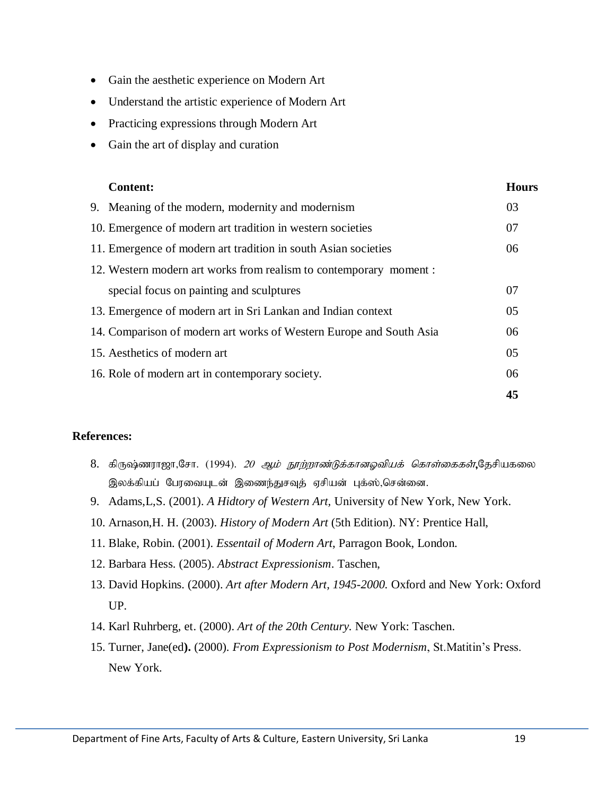- Gain the aesthetic experience on Modern Art
- Understand the artistic experience of Modern Art
- Practicing expressions through Modern Art
- Gain the art of display and curation

| <b>Content:</b>                                                     | <b>Hours</b> |
|---------------------------------------------------------------------|--------------|
| 9. Meaning of the modern, modernity and modernism                   | 03           |
| 10. Emergence of modern art tradition in western societies          | 07           |
| 11. Emergence of modern art tradition in south Asian societies      | 06           |
| 12. Western modern art works from realism to contemporary moment:   |              |
| special focus on painting and sculptures                            | 07           |
| 13. Emergence of modern art in Sri Lankan and Indian context        | 05           |
| 14. Comparison of modern art works of Western Europe and South Asia | 06           |
| 15. Aesthetics of modern art                                        | 05           |
| 16. Role of modern art in contemporary society.                     | 06           |
|                                                                     | 45           |

- 8. கிருஷ்ணராஜா,சோ. (1994). *20 ஆம் நூற்றாண்டுக்கானஓவியக் கொள்கைகள்*,தேசியகலை இலக்கியப் பேரவையுடன் இணைந்துசவுத் ஏசியன் புக்ஸ்,சென்னை.
- 9. Adams,L,S. (2001). *A Hidtory of Western Art,* University of New York, New York.
- 10. Arnason,H. H. (2003). *History of Modern Art* (5th Edition). NY: Prentice Hall,
- 11. Blake, Robin. (2001). *Essentail of Modern Art*, Parragon Book, London.
- 12. Barbara Hess. (2005). *Abstract Expressionism*. Taschen,
- 13. David Hopkins. (2000). *Art after Modern Art, 1945-2000.* Oxford and New York: Oxford UP.
- 14. Karl Ruhrberg, et. (2000). *Art of the 20th Century.* New York: Taschen.
- 15. Turner, Jane(ed**).** (2000). *From Expressionism to Post Modernism*, St.Matitin's Press. New York.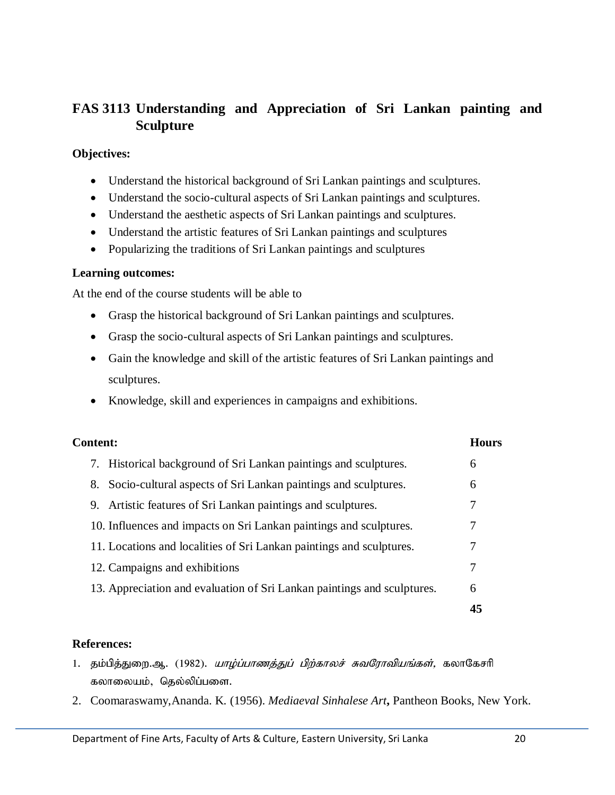# **FAS 3113 Understanding and Appreciation of Sri Lankan painting and Sculpture**

#### **Objectives:**

- Understand the historical background of Sri Lankan paintings and sculptures.
- Understand the socio-cultural aspects of Sri Lankan paintings and sculptures.
- Understand the aesthetic aspects of Sri Lankan paintings and sculptures.
- Understand the artistic features of Sri Lankan paintings and sculptures
- Popularizing the traditions of Sri Lankan paintings and sculptures

#### **Learning outcomes:**

At the end of the course students will be able to

- Grasp the historical background of Sri Lankan paintings and sculptures.
- Grasp the socio-cultural aspects of Sri Lankan paintings and sculptures.
- Gain the knowledge and skill of the artistic features of Sri Lankan paintings and sculptures.
- Knowledge, skill and experiences in campaigns and exhibitions.

| <b>Content:</b>                                                         |    |
|-------------------------------------------------------------------------|----|
| 7. Historical background of Sri Lankan paintings and sculptures.        | 6  |
| Socio-cultural aspects of Sri Lankan paintings and sculptures.<br>8.    | 6  |
| 9. Artistic features of Sri Lankan paintings and sculptures.            | 7  |
| 10. Influences and impacts on Sri Lankan paintings and sculptures.      | 7  |
| 11. Locations and localities of Sri Lankan paintings and sculptures.    | 7  |
| 12. Campaigns and exhibitions                                           | 7  |
| 13. Appreciation and evaluation of Sri Lankan paintings and sculptures. | 6  |
|                                                                         | 45 |

- 1. தம்பித்துறை.ஆ. (1982). *யாழ்ப்பாணத்துப் பிற்காலச் சுவரோவியங்கள்,* கலாகேசரி கலாலையம், தெல்லிப்பளை.
- 2. Coomaraswamy,Ananda. K. (1956). *Mediaeval Sinhalese Art***,** Pantheon Books, New York.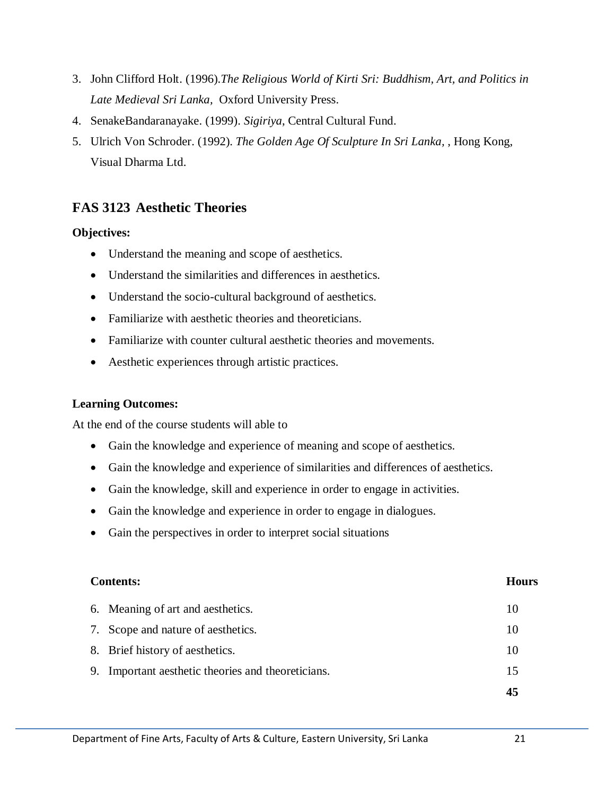- 3. John Clifford Holt. (1996).*The Religious World of Kirti Sri: Buddhism, Art, and Politics in Late Medieval Sri Lanka,* Oxford University Press.
- 4. SenakeBandaranayake. (1999). *Sigiriya*, Central Cultural Fund.
- 5. Ulrich Von Schroder. (1992). *The Golden Age Of Sculpture In Sri Lanka,* , Hong Kong, Visual Dharma Ltd.

# **FAS 3123 Aesthetic Theories**

## **Objectives:**

- Understand the meaning and scope of aesthetics.
- Understand the similarities and differences in aesthetics.
- Understand the socio-cultural background of aesthetics.
- Familiarize with aesthetic theories and theoreticians.
- Familiarize with counter cultural aesthetic theories and movements.
- Aesthetic experiences through artistic practices.

## **Learning Outcomes:**

At the end of the course students will able to

- Gain the knowledge and experience of meaning and scope of aesthetics.
- Gain the knowledge and experience of similarities and differences of aesthetics.
- Gain the knowledge, skill and experience in order to engage in activities.
- Gain the knowledge and experience in order to engage in dialogues.
- Gain the perspectives in order to interpret social situations

## **Contents: Hours**

| 9. Important aesthetic theories and theoreticians. | 15 |
|----------------------------------------------------|----|
| 8. Brief history of aesthetics.                    | 10 |
| 7. Scope and nature of aesthetics.                 | 10 |
| 6. Meaning of art and aesthetics.                  | 10 |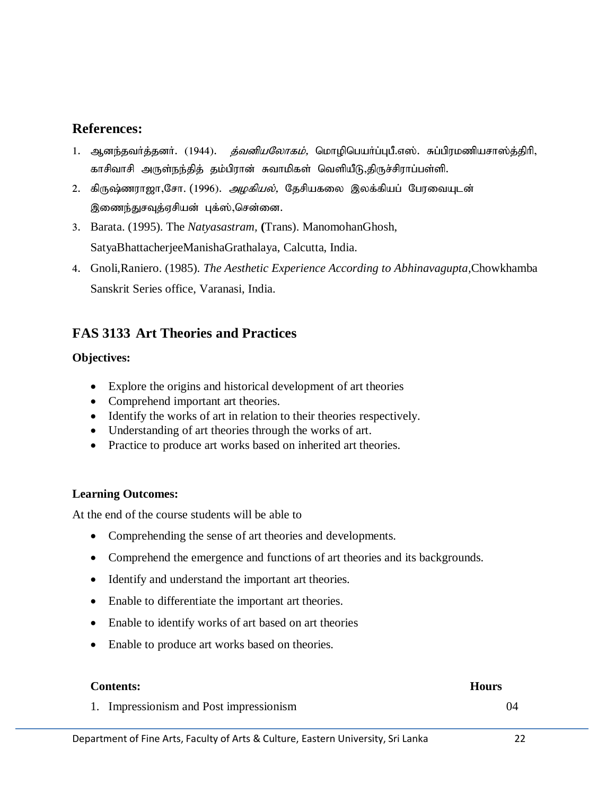- 1. ஆனந்தவர்த்தனர். (1944). *த்வனியலோகம்*, மொழிபெயர்ப்புபீ.எஸ். சுப்பிரமணியசாஸ்த்திரி, காசிவாசி அருள்நந்தித் தம்பிரான் சுவாமிகள் வெளியீடு,திருச்சிராப்பள்ளி.
- 2. கிருஷ்ணராஜா,சோ. (1996). *அழகியல்*, தேசியகலை இலக்கியப் பேரவையுடன் இணைந்துசவுத்ஏசியன் புக்ஸ்,சென்னை.
- 3. Barata. (1995). The *Natyasastram,* **(**Trans). ManomohanGhosh, SatyaBhattacherjeeManishaGrathalaya, Calcutta, India.
- 4. Gnoli,Raniero. (1985). *The Aesthetic Experience According to Abhinavagupta,*Chowkhamba Sanskrit Series office, Varanasi, India.

# **FAS 3133 Art Theories and Practices**

## **Objectives:**

- Explore the origins and historical development of art theories
- Comprehend important art theories.
- Identify the works of art in relation to their theories respectively.
- Understanding of art theories through the works of art.
- Practice to produce art works based on inherited art theories.

## **Learning Outcomes:**

At the end of the course students will be able to

- Comprehending the sense of art theories and developments.
- Comprehend the emergence and functions of art theories and its backgrounds.
- Identify and understand the important art theories.
- Enable to differentiate the important art theories.
- Enable to identify works of art based on art theories
- Enable to produce art works based on theories.

#### **Contents: Hours**

1. Impressionism and Post impressionism 04

#### Department of Fine Arts, Faculty of Arts & Culture, Eastern University, Sri Lanka 22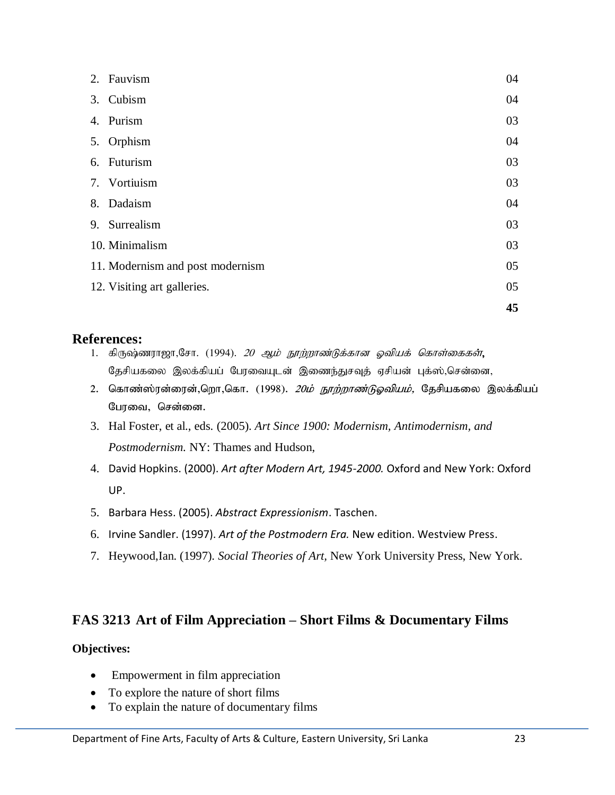| 2. Fauvism                       | 04 |
|----------------------------------|----|
| 3. Cubism                        | 04 |
| 4. Purism                        | 03 |
| 5. Orphism                       | 04 |
| 6. Futurism                      | 03 |
| 7. Vortiuism                     | 03 |
| 8. Dadaism                       | 04 |
| 9. Surrealism                    | 03 |
| 10. Minimalism                   | 03 |
| 11. Modernism and post modernism | 05 |
| 12. Visiting art galleries.      | 05 |
|                                  | 45 |

- 1. கிருஷ்ணராஜா,சோ. (1994). *20 ஆம் நூற்றாண்டுக்கான ஓவியக் கொள்கைகள்*, கேசியகலை இலக்கியப் போவையுடன் இணைந்துசவுத் ஏசியன் புக்ஸ்,சென்னை,
- 2. கொண்ஸ்ரன்ரைன்,றொ,கொ. (1998). *20ம் நூற்றாண்டுஓவியம்,* தேசியகலை இலக்கியப் பேரவை, சென்னை.
- 3. Hal Foster, et al., eds. (2005). *Art Since 1900: Modernism, Antimodernism, and Postmodernism.* NY: Thames and Hudson,
- 4. David Hopkins. (2000). *Art after Modern Art, 1945-2000.* Oxford and New York: Oxford UP.
- 5. Barbara Hess. (2005). *Abstract Expressionism*. Taschen.
- 6. Irvine Sandler. (1997). *Art of the Postmodern Era.* New edition. Westview Press.
- 7. Heywood,Ian. (1997). *Social Theories of Art,* New York University Press, New York.

# **FAS 3213 Art of Film Appreciation – Short Films & Documentary Films**

## **Objectives:**

- Empowerment in film appreciation
- To explore the nature of short films
- To explain the nature of documentary films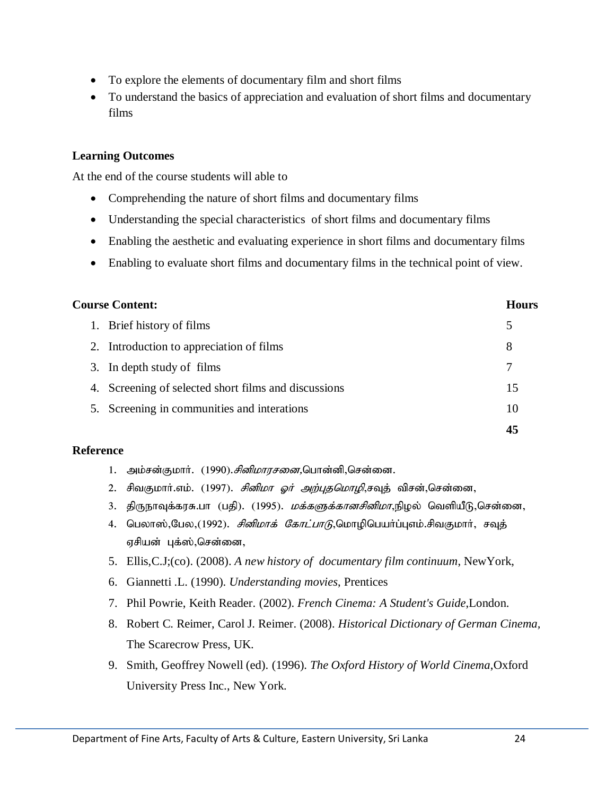- To explore the elements of documentary film and short films
- To understand the basics of appreciation and evaluation of short films and documentary films

#### **Learning Outcomes**

At the end of the course students will able to

- Comprehending the nature of short films and documentary films
- Understanding the special characteristics of short films and documentary films
- Enabling the aesthetic and evaluating experience in short films and documentary films
- Enabling to evaluate short films and documentary films in the technical point of view.

| <b>Course Content:</b> |  | Hours                                                |    |
|------------------------|--|------------------------------------------------------|----|
|                        |  | 1. Brief history of films                            | 5  |
|                        |  | 2. Introduction to appreciation of films             | 8  |
|                        |  | 3. In depth study of films                           | 7  |
|                        |  | 4. Screening of selected short films and discussions | 15 |
|                        |  | 5. Screening in communities and interations          | 10 |
|                        |  |                                                      | 45 |

#### **Reference**

- 1. அம்சன்குமார். (1990).*சினிமாரசனை*,பொன்னி,சென்னை.
- 2. சிவகுமார்.எம். (1997). *சினிமா ஓர் அற்புதமொழி*,சவுத் விசன்,சென்னை,
- 3. திருநாவுக்கரசு.பா (பதி). (1995). *மக்களுக்கானசினிமா*,நிழல் வெளியீடு,சென்னை,
- 4. பெலாஸ்,பேல,(1992). *சினிமாக் கோட்பாடு*,மொழிபெயா்ப்புஎம்.சிவகுமாா், சவுத் ஏசியன் புக்ஸ்,சென்னை,
- 5. Ellis,C.J;(co). (2008). *A new history of documentary film continuum*, NewYork,
- 6. Giannetti .L. (1990). *Understanding movies*, Prentices
- 7. Phil Powrie, Keith Reader. (2002). *French Cinema: A Student's Guide*,London.
- 8. Robert C. Reimer, Carol J. Reimer. (2008). *Historical Dictionary of German Cinema,*  The Scarecrow Press, UK.
- 9. Smith, Geoffrey Nowell (ed). (1996). *The Oxford History of World Cinema*,Oxford University Press Inc., New York.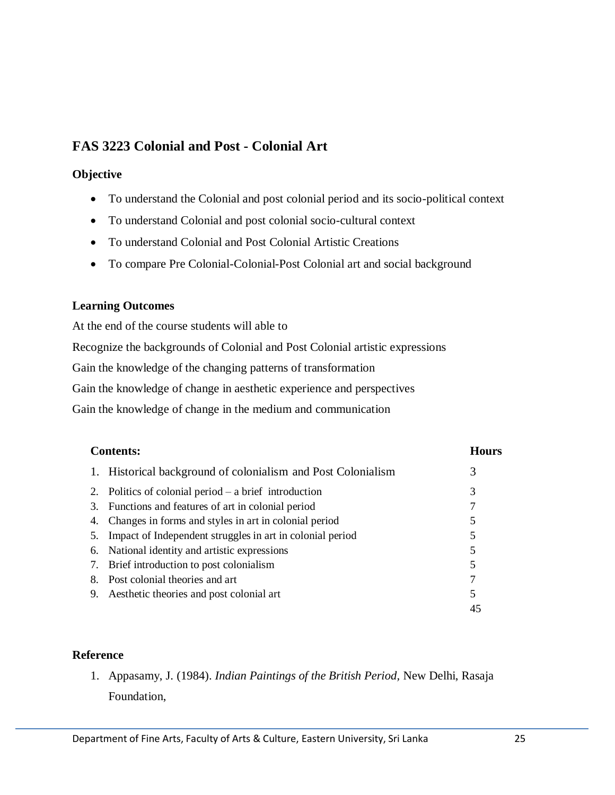# **FAS 3223 Colonial and Post - Colonial Art**

#### **Objective**

- To understand the Colonial and post colonial period and its socio-political context
- To understand Colonial and post colonial socio-cultural context
- To understand Colonial and Post Colonial Artistic Creations
- To compare Pre Colonial-Colonial-Post Colonial art and social background

## **Learning Outcomes**

At the end of the course students will able to

Recognize the backgrounds of Colonial and Post Colonial artistic expressions

Gain the knowledge of the changing patterns of transformation

Gain the knowledge of change in aesthetic experience and perspectives

Gain the knowledge of change in the medium and communication

|    | <b>Contents:</b>                                             | <b>Hours</b> |  |
|----|--------------------------------------------------------------|--------------|--|
|    | 1. Historical background of colonialism and Post Colonialism | 3            |  |
|    | Politics of colonial period $-$ a brief introduction         | 3            |  |
| 3. | Functions and features of art in colonial period             |              |  |
|    | Changes in forms and styles in art in colonial period        |              |  |
|    | Impact of Independent struggles in art in colonial period    |              |  |
| 6. | National identity and artistic expressions                   |              |  |
| 7. | Brief introduction to post colonialism                       |              |  |
| 8. | Post colonial theories and art                               |              |  |
| 9. | Aesthetic theories and post colonial art                     | 5            |  |
|    |                                                              | 45           |  |

## **Reference**

1. Appasamy, J. (1984). *Indian Paintings of the British Period,* New Delhi, Rasaja Foundation,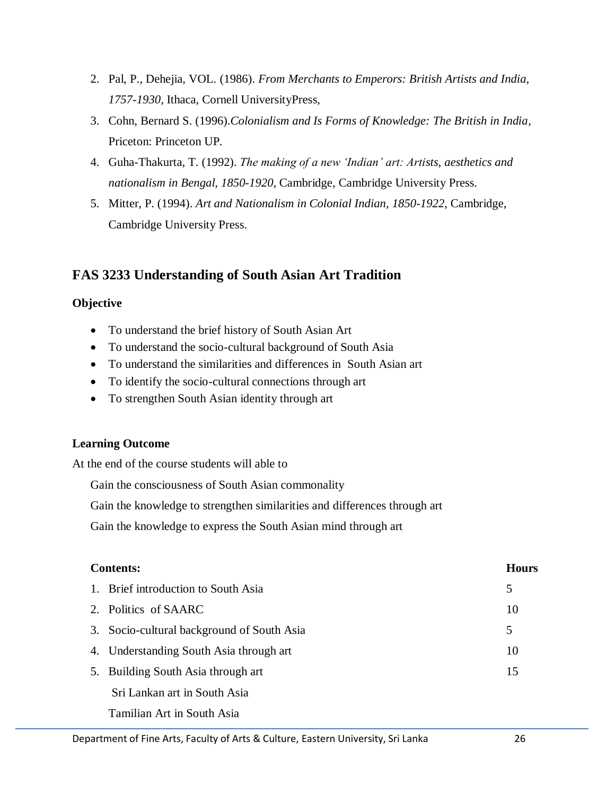- 2. Pal, P., Dehejia, VOL. (1986). *From Merchants to Emperors: British Artists and India, 1757-1930*, Ithaca, Cornell UniversityPress,
- 3. Cohn, Bernard S. (1996).*Colonialism and Is Forms of Knowledge: The British in India*, Priceton: Princeton UP.
- 4. Guha-Thakurta, T. (1992). *The making of a new 'Indian' art: Artists, aesthetics and nationalism in Bengal, 1850-1920*, Cambridge, Cambridge University Press.
- 5. Mitter, P. (1994). *Art and Nationalism in Colonial Indian, 1850-1922,* Cambridge, Cambridge University Press.

# **FAS 3233 Understanding of South Asian Art Tradition**

## **Objective**

- To understand the brief history of South Asian Art
- To understand the socio-cultural background of South Asia
- To understand the similarities and differences in South Asian art
- To identify the socio-cultural connections through art
- To strengthen South Asian identity through art

# **Learning Outcome**

At the end of the course students will able to

Gain the consciousness of South Asian commonality

Gain the knowledge to strengthen similarities and differences through art

Gain the knowledge to express the South Asian mind through art

| <b>Contents:</b> |                                            | <b>Hours</b> |  |
|------------------|--------------------------------------------|--------------|--|
|                  | 1. Brief introduction to South Asia        | 5            |  |
|                  | 2. Politics of SAARC                       | 10           |  |
|                  | 3. Socio-cultural background of South Asia | 5            |  |
|                  | 4. Understanding South Asia through art    | 10           |  |
|                  | 5. Building South Asia through art         | 15           |  |
|                  | Sri Lankan art in South Asia               |              |  |
|                  | Tamilian Art in South Asia                 |              |  |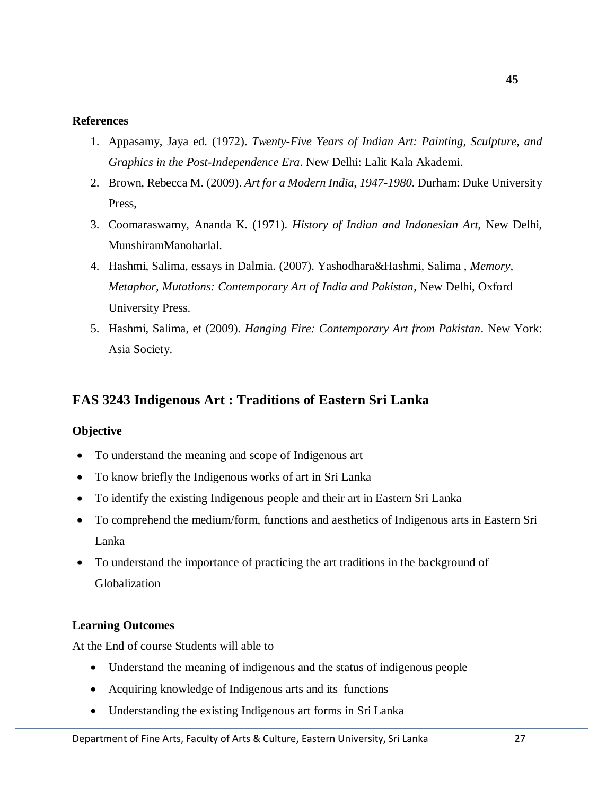- 1. Appasamy, Jaya ed. (1972). *Twenty-Five Years of Indian Art: Painting, Sculpture, and Graphics in the Post-Independence Era*. New Delhi: Lalit Kala Akademi.
- 2. Brown, Rebecca M. (2009). *Art for a Modern India, 1947-1980*. Durham: Duke University Press,
- 3. Coomaraswamy, Ananda K. (1971). *History of Indian and Indonesian Art*, New Delhi, MunshiramManoharlal.
- 4. Hashmi, Salima, essays in Dalmia. (2007). Yashodhara&Hashmi, Salima , *Memory, Metaphor, Mutations: Contemporary Art of India and Pakistan*, New Delhi, Oxford University Press.
- 5. Hashmi, Salima, et (2009). *Hanging Fire: Contemporary Art from Pakistan*. New York: Asia Society.

# **FAS 3243 Indigenous Art : Traditions of Eastern Sri Lanka**

#### **Objective**

- To understand the meaning and scope of Indigenous art
- To know briefly the Indigenous works of art in Sri Lanka
- To identify the existing Indigenous people and their art in Eastern Sri Lanka
- To comprehend the medium/form, functions and aesthetics of Indigenous arts in Eastern Sri Lanka
- To understand the importance of practicing the art traditions in the background of Globalization

#### **Learning Outcomes**

At the End of course Students will able to

- Understand the meaning of indigenous and the status of indigenous people
- Acquiring knowledge of Indigenous arts and its functions
- Understanding the existing Indigenous art forms in Sri Lanka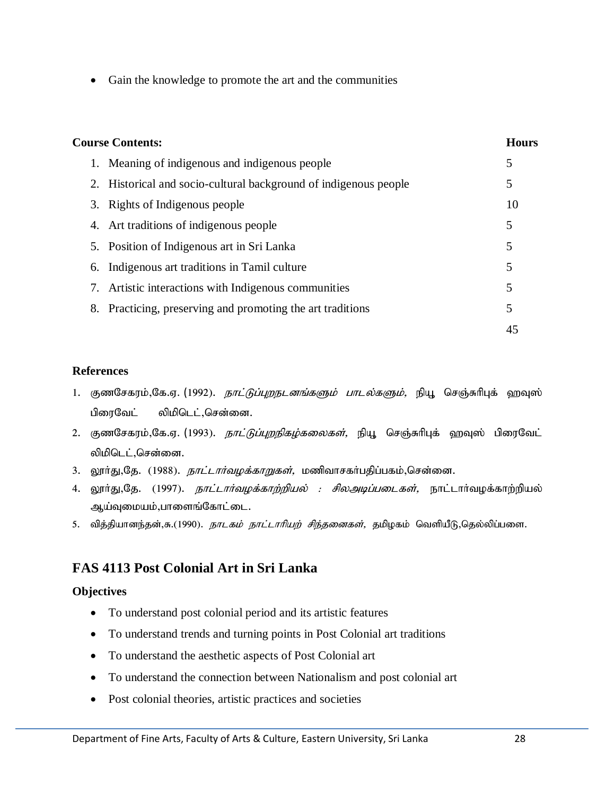• Gain the knowledge to promote the art and the communities

| <b>Course Contents:</b>                                          |    |
|------------------------------------------------------------------|----|
| 1. Meaning of indigenous and indigenous people                   | 5  |
| 2. Historical and socio-cultural background of indigenous people | 5  |
| 3. Rights of Indigenous people                                   | 10 |
| 4. Art traditions of indigenous people                           | 5  |
| 5. Position of Indigenous art in Sri Lanka                       | 5  |
| 6. Indigenous art traditions in Tamil culture                    | 5  |
| 7. Artistic interactions with Indigenous communities             | 5  |
| 8. Practicing, preserving and promoting the art traditions       | 5  |
|                                                                  | 45 |

#### **References**

- 1. குணசேகரம்,கே.ஏ. (1992). *நாட்டுப்புறநடனங்களும் பாடல்களும்*, நியூ செஞ்சுரிபுக் ஹவுஸ் பிரைவேட் லிமிடெட்,சென்னை.
- 2. குணசேகரம்,கே.ஏ. (1993). *நாட்டுப்புறநிகழ்கலைகள்*, நியூ செஞ்சுரிபுக் ஹவுஸ் பிரைவேட் லிமிடெட்,சென்னை.
- 3. லூர்து,கே. (1988). *நாட்டார்வழக்காறுகள்*, மணிவாசகர்பதிப்பகம்,சென்னை.
- 4. லூா்து,தே. (1997). *நாட்டாா்வழக்காற்றியல் : சிலஅடிப்படைகள்,* நாட்டாா்வழக்காற்றியல் ஆய்வுமையம்,பாளைங்கோட்டை.
- 5. வித்தியானந்தன்,சு.(1990). *நாடகம் நாட்டாரியற் சிந்தனைகள்,* தமிழகம் வெளியீடு,தெல்லிப்பளை.

# **FAS 4113 Post Colonial Art in Sri Lanka**

## **Objectives**

- To understand post colonial period and its artistic features
- To understand trends and turning points in Post Colonial art traditions
- To understand the aesthetic aspects of Post Colonial art
- To understand the connection between Nationalism and post colonial art
- Post colonial theories, artistic practices and societies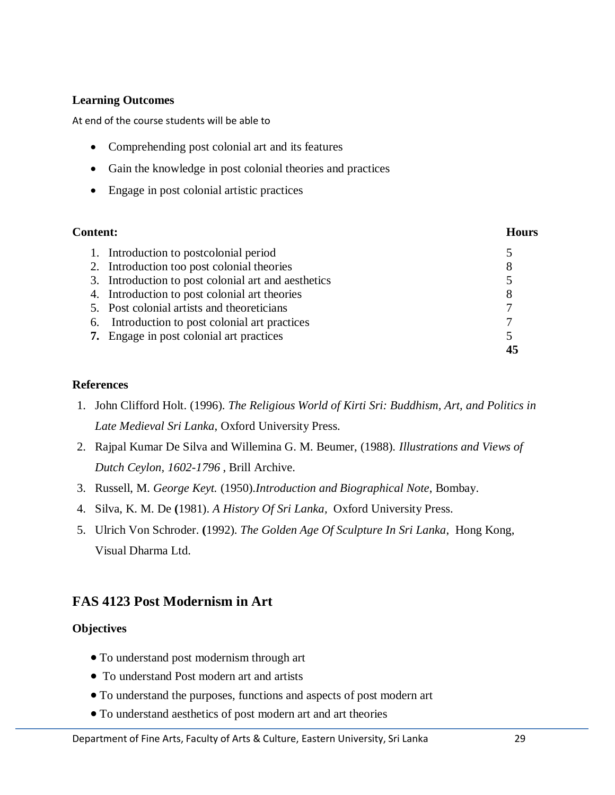## **Learning Outcomes**

At end of the course students will be able to

- Comprehending post colonial art and its features
- Gain the knowledge in post colonial theories and practices
- Engage in post colonial artistic practices

| <b>Content:</b> |                                                     | Hours |
|-----------------|-----------------------------------------------------|-------|
|                 | 1. Introduction to postcolonial period              | 5     |
|                 | 2. Introduction too post colonial theories          | 8     |
|                 | 3. Introduction to post colonial art and aesthetics | 5     |
|                 | 4. Introduction to post colonial art theories       | 8     |
|                 | 5. Post colonial artists and theoreticians          |       |
|                 | 6. Introduction to post colonial art practices      |       |
|                 | 7. Engage in post colonial art practices            | 5     |
|                 |                                                     |       |

## **References**

- 1. John Clifford Holt. (1996). *The Religious World of Kirti Sri: Buddhism, Art, and Politics in Late Medieval Sri Lanka*, Oxford University Press.
- 2. Rajpal Kumar De Silva and Willemina G. M. Beumer, (1988). *Illustrations and Views of Dutch Ceylon, 1602-1796* , Brill Archive.
- 3. Russell, M. *George Keyt.* (1950).*Introduction and Biographical Note*, Bombay.
- 4. Silva, K. M. De **(**1981). *A History Of Sri Lanka,* Oxford University Press.
- 5. Ulrich Von Schroder. **(**1992). *The Golden Age Of Sculpture In Sri Lanka*, Hong Kong, Visual Dharma Ltd.

# **FAS 4123 Post Modernism in Art**

## **Objectives**

- To understand post modernism through art
- To understand Post modern art and artists
- To understand the purposes, functions and aspects of post modern art
- To understand aesthetics of post modern art and art theories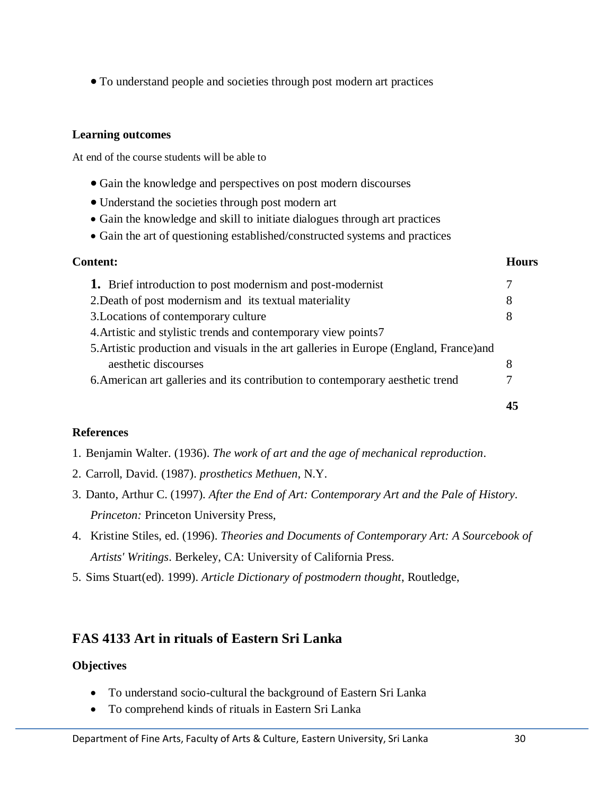To understand people and societies through post modern art practices

#### **Learning outcomes**

At end of the course students will be able to

- Gain the knowledge and perspectives on post modern discourses
- Understand the societies through post modern art
- Gain the knowledge and skill to initiate dialogues through art practices
- Gain the art of questioning established/constructed systems and practices

| <b>Content:</b><br>Hours                                                                |    |
|-----------------------------------------------------------------------------------------|----|
| <b>1.</b> Brief introduction to post modernism and post-modernist                       | 7  |
| 2. Death of post modernism and its textual materiality                                  | 8  |
| 3. Locations of contemporary culture                                                    | 8  |
| 4. Artistic and stylistic trends and contemporary view points7                          |    |
| 5. Artistic production and visuals in the art galleries in Europe (England, France) and |    |
| aesthetic discourses                                                                    | 8  |
| 6. American art galleries and its contribution to contemporary aesthetic trend          |    |
|                                                                                         | 45 |

## **References**

- 1. Benjamin Walter. (1936). *The work of art and the age of mechanical reproduction*.
- 2. Carroll, David. (1987). *prosthetics Methuen*, N.Y.
- 3. Danto, Arthur C. (1997). *After the End of Art: Contemporary Art and the Pale of History. Princeton:* Princeton University Press,
- 4. Kristine Stiles, ed. (1996). *Theories and Documents of Contemporary Art: A Sourcebook of Artists' Writings*. Berkeley, CA: University of California Press.
- 5. Sims Stuart(ed). 1999). *Article Dictionary of postmodern thought*, Routledge,

## **FAS 4133 Art in rituals of Eastern Sri Lanka**

## **Objectives**

- To understand socio-cultural the background of Eastern Sri Lanka
- To comprehend kinds of rituals in Eastern Sri Lanka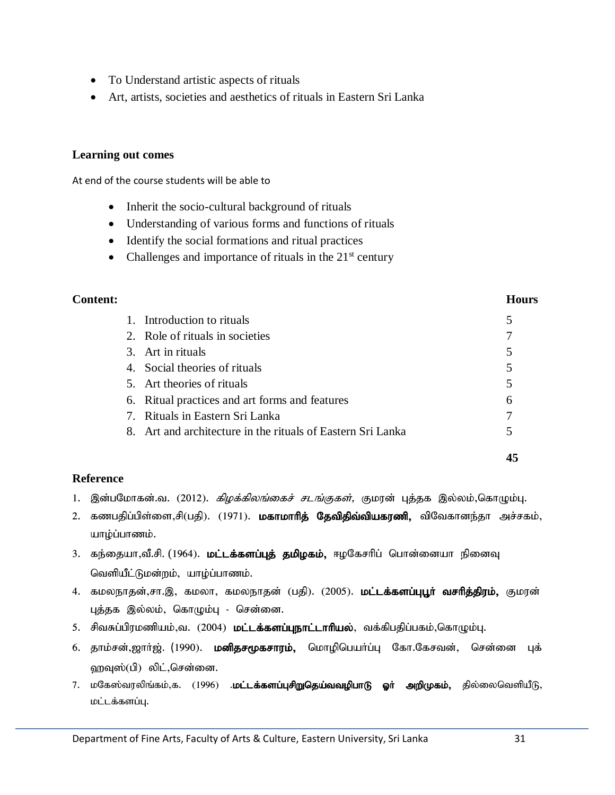- To Understand artistic aspects of rituals
- Art, artists, societies and aesthetics of rituals in Eastern Sri Lanka

#### **Learning out comes**

At end of the course students will be able to

- Inherit the socio-cultural background of rituals
- Understanding of various forms and functions of rituals
- Identify the social formations and ritual practices
- Challenges and importance of rituals in the  $21<sup>st</sup>$  century

#### **Content: Hours**

| 7. Rituals in Eastern Sri Lanka                |   |
|------------------------------------------------|---|
|                                                |   |
|                                                |   |
| 6. Ritual practices and art forms and features | 6 |
| 5. Art theories of rituals                     |   |
| 4. Social theories of rituals                  |   |
| 3. Art in rituals                              |   |
| 2. Role of rituals in societies                |   |
| 1. Introduction to rituals                     |   |

#### **Reference**

- 1. இன்பமோகன்.வ. (2012). *கிமக்கிலங்கைச் சடங்குகள்*, குமான் புக்கக இல்லம்.கொமும்பு.
- 2. கணபதிப்பிள்ளை,சி(பதி). (1971). **மகாமாரித் தேவிதிவ்வியகரணி,** விவேகானந்தா அச்சகம், யாம்ப்பாணம்.
- 3. கந்தையா,வீ.சி. (1964). **மட்டக்களப்புத் தமிழகம்,** ஈழகேசரிப் பொன்னையா நினைவு வெளியீட்டுமன்றம், யாழ்ப்பாணம்.
- 4. கமலநாதன்,சா.இ, கமலா, கமலநாதன் (பதி). (2005). **மட்டக்களப்புபூர் வசரித்திரம்,** குமரன் புத்தக இல்லம், கொழும்பு - சென்னை.
- 5. சிவசுப்பிரமணியம்,வ. (2004) **மட்டக்களப்புநாட்டாரியல்**, வக்கிபதிப்பகம்,கொழும்பு.
- 6. தாம்சன்,ஜார்ஜ். (1990). மனிதசமூகசாரம், மொழிபெயா்ப்பு கோ.கேசவன், சென்னை புக் ஹவுஸ்(பி) லிட்,சென்னை.
- 7. மகேஸ்வரலிங்கம்,க. (1996) **.மட்டக்களப்புசிறுதெய்வவழிபாடு ஓா் அறிமுகம்,** தில்லைவெளியீடு, மட்டக்களப்பு.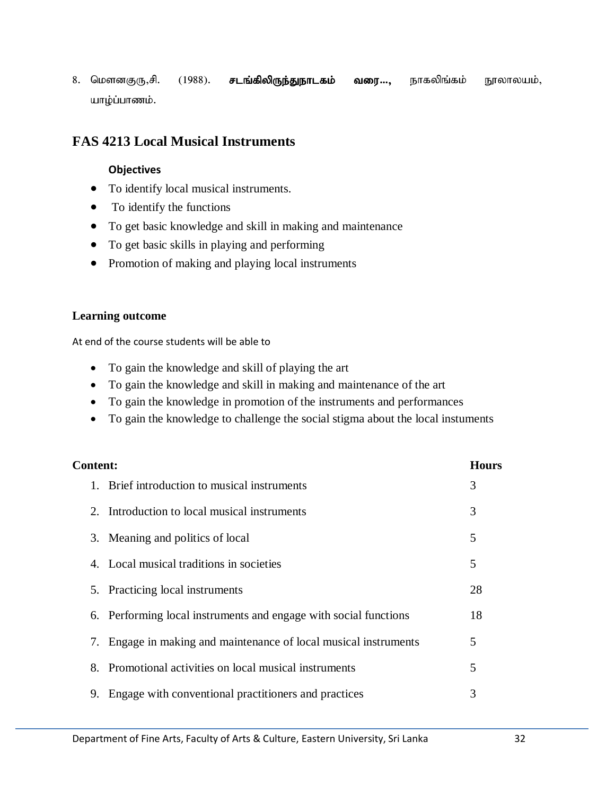8. மௌனகுரு,சி. (1988). **சடங்கிலிருந்துநாடகம் வரை…,** நாகலிங்கம் நூலாலயம், யாழ்ப்பாணம்.

# **FAS 4213 Local Musical Instruments**

#### **Objectives**

- To identify local musical instruments.
- To identify the functions
- To get basic knowledge and skill in making and maintenance
- To get basic skills in playing and performing
- Promotion of making and playing local instruments

#### **Learning outcome**

At end of the course students will be able to

- To gain the knowledge and skill of playing the art
- To gain the knowledge and skill in making and maintenance of the art
- To gain the knowledge in promotion of the instruments and performances
- To gain the knowledge to challenge the social stigma about the local instuments

| <b>Content:</b> |                                                                  | <b>Hours</b> |  |
|-----------------|------------------------------------------------------------------|--------------|--|
|                 | 1. Brief introduction to musical instruments                     | 3            |  |
|                 | 2. Introduction to local musical instruments                     | 3            |  |
|                 | 3. Meaning and politics of local                                 | 5            |  |
|                 | 4. Local musical traditions in societies                         | 5            |  |
|                 | 5. Practicing local instruments                                  | 28           |  |
|                 | 6. Performing local instruments and engage with social functions | 18           |  |
|                 | 7. Engage in making and maintenance of local musical instruments | 5            |  |
|                 | 8. Promotional activities on local musical instruments           | 5            |  |
| 9.              | Engage with conventional practitioners and practices             | 3            |  |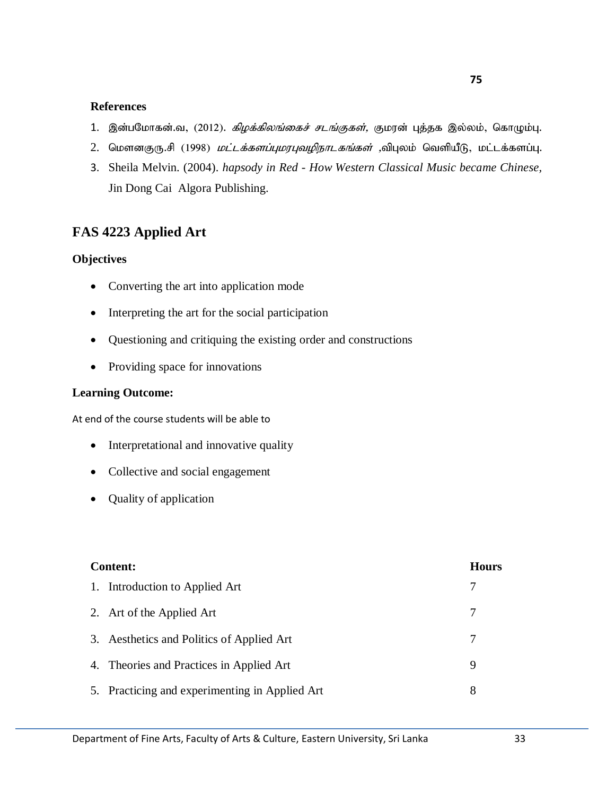- 1. இன்பமோகன்.வ, (2012). *கிழக்கிலங்கைச் சடங்குகள்*, குமரன் புத்தக இல்லம், கொழும்பு.
- 2. மௌனகுரு.சி (1998) *மட்டக்களப்புமரபுவழிநாடகங்கள்* ,விபுலம் வெளியீடு, மட்டக்களப்பு.
- 3. Sheila Melvin. (2004). *hapsody in Red - How Western Classical Music became Chinese,* Jin Dong Cai Algora Publishing.

# **FAS 4223 Applied Art**

#### **Objectives**

- Converting the art into application mode
- Interpreting the art for the social participation
- Questioning and critiquing the existing order and constructions
- Providing space for innovations

#### **Learning Outcome:**

At end of the course students will be able to

- Interpretational and innovative quality
- Collective and social engagement
- Quality of application

| <b>Content:</b>                                |   |
|------------------------------------------------|---|
| 1. Introduction to Applied Art                 |   |
| 2. Art of the Applied Art                      |   |
| 3. Aesthetics and Politics of Applied Art      |   |
| 4. Theories and Practices in Applied Art       | 9 |
| 5. Practicing and experimenting in Applied Art | 8 |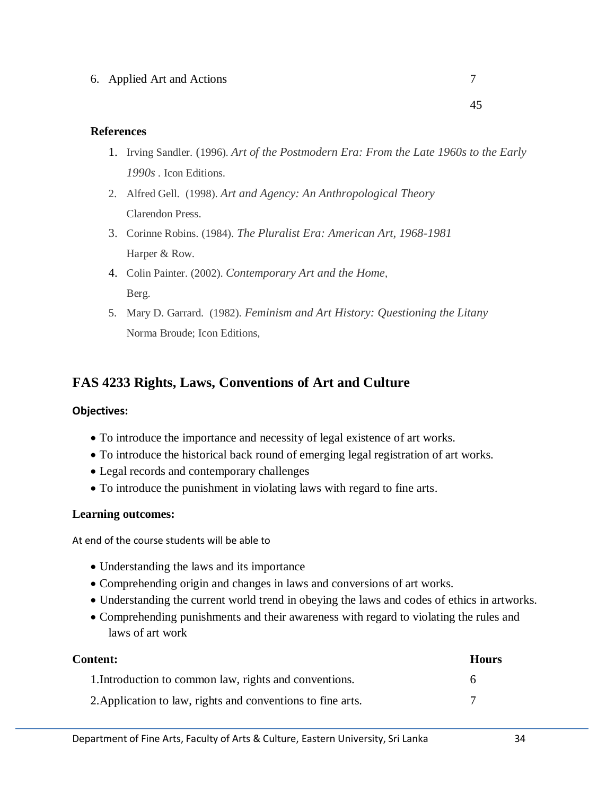- 1. Irving Sandler. (1996). *Art of the Postmodern Era: From the Late 1960s to the Early 1990s .* Icon Editions.
- 2. Alfred Gell. (1998). *Art and Agency: An Anthropological Theory* Clarendon Press.
- 3. Corinne Robins. (1984). *The Pluralist Era: American Art, 1968-1981* Harper & Row.
- 4. Colin Painter. (2002). *Contemporary Art and the Home*, Berg.
- 5. Mary D. Garrard. (1982). *Feminism and Art History: Questioning the Litany* Norma Broude; Icon Editions,

# **FAS 4233 Rights, Laws, Conventions of Art and Culture**

#### **Objectives:**

- To introduce the importance and necessity of legal existence of art works.
- To introduce the historical back round of emerging legal registration of art works.
- Legal records and contemporary challenges
- To introduce the punishment in violating laws with regard to fine arts.

#### **Learning outcomes:**

At end of the course students will be able to

- Understanding the laws and its importance
- Comprehending origin and changes in laws and conversions of art works.
- Understanding the current world trend in obeying the laws and codes of ethics in artworks.
- Comprehending punishments and their awareness with regard to violating the rules and laws of art work

| <b>Content:</b>                                             |   |
|-------------------------------------------------------------|---|
| 1. Introduction to common law, rights and conventions.      | 6 |
| 2. Application to law, rights and conventions to fine arts. |   |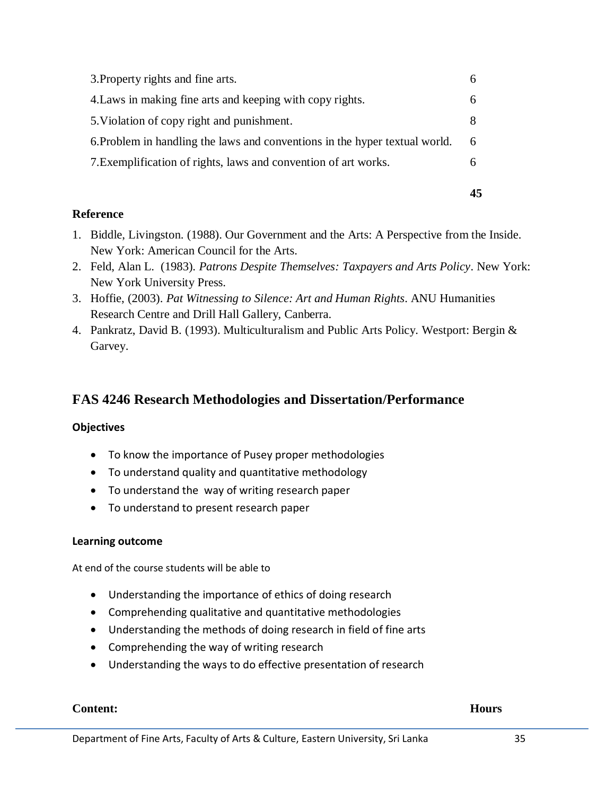| 7. Exemplification of rights, laws and convention of art works.             |   |
|-----------------------------------------------------------------------------|---|
| 6. Problem in handling the laws and conventions in the hyper textual world. | 6 |
| 5. Violation of copy right and punishment.                                  | 8 |
| 4. Laws in making fine arts and keeping with copy rights.                   |   |
| 3. Property rights and fine arts.                                           |   |

#### **Reference**

- 1. Biddle, Livingston. (1988). Our Government and the Arts: A Perspective from the Inside. New York: American Council for the Arts.
- 2. Feld, Alan L. (1983). *Patrons Despite Themselves: Taxpayers and Arts Policy*. New York: New York University Press.
- 3. Hoffie, (2003). *Pat Witnessing to Silence: Art and Human Rights*. ANU Humanities Research Centre and Drill Hall Gallery, Canberra.
- 4. Pankratz, David B. (1993). Multiculturalism and Public Arts Policy. Westport: Bergin & Garvey.

# **FAS 4246 Research Methodologies and Dissertation/Performance**

## **Objectives**

- To know the importance of Pusey proper methodologies
- To understand quality and quantitative methodology
- To understand the way of writing research paper
- To understand to present research paper

#### **Learning outcome**

At end of the course students will be able to

- Understanding the importance of ethics of doing research
- Comprehending qualitative and quantitative methodologies
- Understanding the methods of doing research in field of fine arts
- Comprehending the way of writing research
- Understanding the ways to do effective presentation of research

#### **Content: Hours**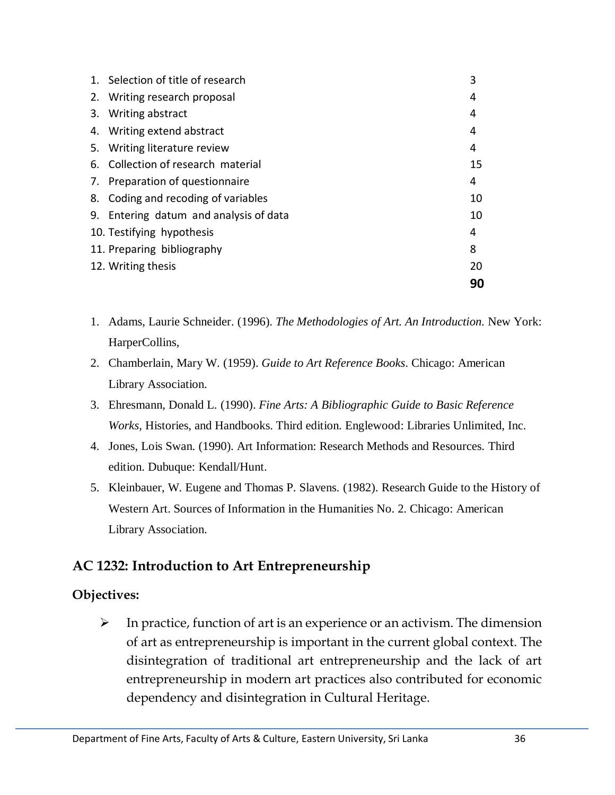| 1. Selection of title of research      | 3  |
|----------------------------------------|----|
| 2. Writing research proposal           | 4  |
| 3. Writing abstract                    | 4  |
| 4. Writing extend abstract             | 4  |
| 5. Writing literature review           | 4  |
| 6. Collection of research material     | 15 |
| 7. Preparation of questionnaire        | 4  |
| 8. Coding and recoding of variables    | 10 |
| 9. Entering datum and analysis of data | 10 |
| 10. Testifying hypothesis              | 4  |
| 11. Preparing bibliography             | 8  |
| 12. Writing thesis                     | 20 |
|                                        | 90 |

- 1. Adams, Laurie Schneider. (1996). *The Methodologies of Art. An Introduction.* New York: HarperCollins,
- 2. Chamberlain, Mary W. (1959). *Guide to Art Reference Books*. Chicago: American Library Association.
- 3. Ehresmann, Donald L. (1990). *Fine Arts: A Bibliographic Guide to Basic Reference Works,* Histories, and Handbooks. Third edition. Englewood: Libraries Unlimited, Inc.
- 4. Jones, Lois Swan. (1990). Art Information: Research Methods and Resources. Third edition. Dubuque: Kendall/Hunt.
- 5. Kleinbauer, W. Eugene and Thomas P. Slavens. (1982). Research Guide to the History of Western Art. Sources of Information in the Humanities No. 2. Chicago: American Library Association.

# **AC 1232: Introduction to Art Entrepreneurship**

# **Objectives:**

 $\triangleright$  In practice, function of art is an experience or an activism. The dimension of art as entrepreneurship is important in the current global context. The disintegration of traditional art entrepreneurship and the lack of art entrepreneurship in modern art practices also contributed for economic dependency and disintegration in Cultural Heritage.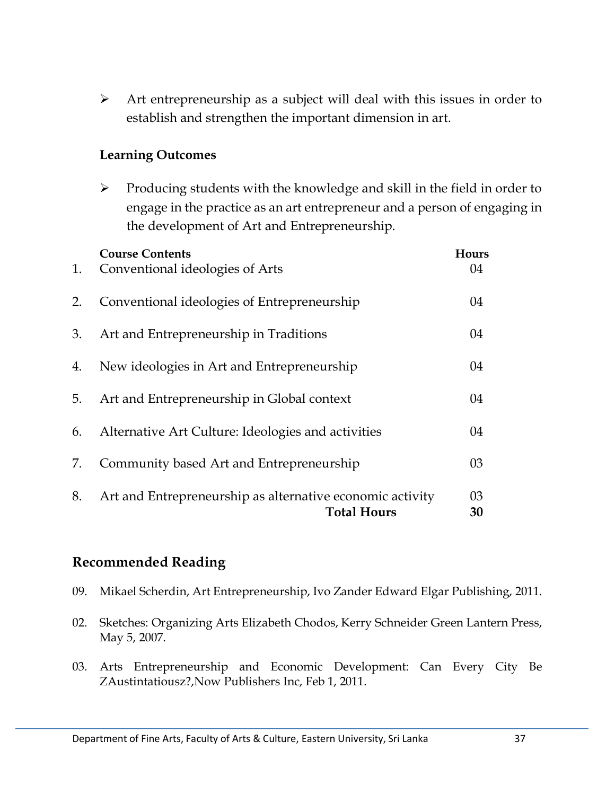$\triangleright$  Art entrepreneurship as a subject will deal with this issues in order to establish and strengthen the important dimension in art.

# **Learning Outcomes**

 $\triangleright$  Producing students with the knowledge and skill in the field in order to engage in the practice as an art entrepreneur and a person of engaging in the development of Art and Entrepreneurship.

| 1. | <b>Course Contents</b><br>Conventional ideologies of Arts                       | Hours<br>04 |
|----|---------------------------------------------------------------------------------|-------------|
| 2. | Conventional ideologies of Entrepreneurship                                     | 04          |
| 3. | Art and Entrepreneurship in Traditions                                          | 04          |
| 4. | New ideologies in Art and Entrepreneurship                                      | 04          |
| 5. | Art and Entrepreneurship in Global context                                      | 04          |
| 6. | Alternative Art Culture: Ideologies and activities                              | 04          |
| 7. | Community based Art and Entrepreneurship                                        | 03          |
| 8. | Art and Entrepreneurship as alternative economic activity<br><b>Total Hours</b> | 03<br>30    |

# **Recommended Reading**

- 09. Mikael Scherdin, Art Entrepreneurship, Ivo Zander Edward Elgar Publishing, 2011.
- 02. Sketches: Organizing Arts Elizabeth Chodos, Kerry Schneider Green Lantern Press, May 5, 2007.
- 03. Arts Entrepreneurship and Economic Development: Can Every City Be ZAustintatiousz?,Now Publishers Inc, Feb 1, 2011.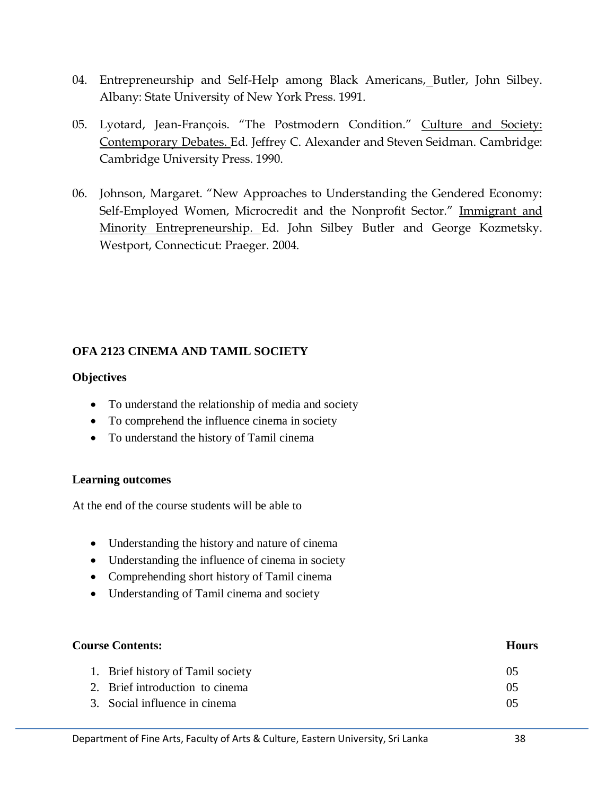- 04. Entrepreneurship and Self-Help among Black Americans, Butler, John Silbey. Albany: State University of New York Press. 1991.
- 05. Lyotard, Jean-François. "The Postmodern Condition." Culture and Society: Contemporary Debates. Ed. Jeffrey C. Alexander and Steven Seidman. Cambridge: Cambridge University Press. 1990.
- 06. Johnson, Margaret. "New Approaches to Understanding the Gendered Economy: Self-Employed Women, Microcredit and the Nonprofit Sector." Immigrant and Minority Entrepreneurship. Ed. John Silbey Butler and George Kozmetsky. Westport, Connecticut: Praeger. 2004.

## **OFA 2123 CINEMA AND TAMIL SOCIETY**

#### **Objectives**

- To understand the relationship of media and society
- To comprehend the influence cinema in society
- To understand the history of Tamil cinema

## **Learning outcomes**

At the end of the course students will be able to

- Understanding the history and nature of cinema
- Understanding the influence of cinema in society
- Comprehending short history of Tamil cinema
- Understanding of Tamil cinema and society

| <b>Course Contents:</b>           |    |
|-----------------------------------|----|
| 1. Brief history of Tamil society | 05 |
| 2. Brief introduction to cinema   | 05 |
| 3. Social influence in cinema     | 05 |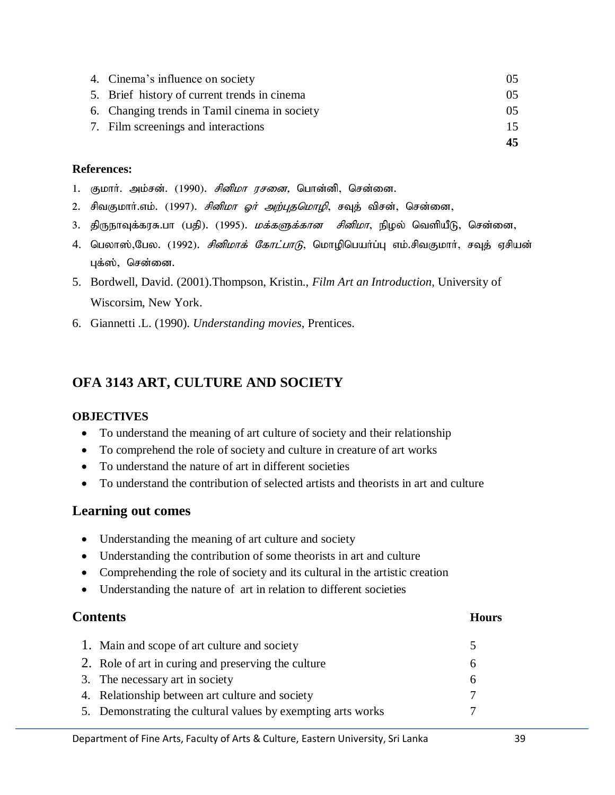| 4. Cinema's influence on society              | (1.5) |
|-----------------------------------------------|-------|
| 5. Brief history of current trends in cinema  | 05    |
| 6. Changing trends in Tamil cinema in society | 05    |
| 7. Film screenings and interactions           | 15    |
|                                               | 45    |

- 1. குமார். அம்சன். (1990). *சினிமா ரசனை*, பொன்னி, சென்னை.
- 2. சிவகுமார்.எம். (1997). *சினிமா ஓர் அற்புதமொழி*, சவுத் விசன், சென்னை,
- 3. திருநாவுக்கரசு.பா (பதி). (1995). *மக்களுக்கான சினிமா*, நிழல் வெளியீடு, சென்னை,
- 4. பெலாஸ்,பேல. (1992). *சினிமாக் கோட்பாடு*, மொழிபெயா்ப்பு எம்.சிவகுமாா், சவுத் ஏசியன் புக்ஸ், சென்னை.
- 5. Bordwell, David. (2001).Thompson, Kristin., *Film Art an Introduction*, University of Wiscorsim, New York.
- 6. Giannetti .L. (1990). *Understanding movies*, Prentices.

# **OFA 3143 ART, CULTURE AND SOCIETY**

## **OBJECTIVES**

- To understand the meaning of art culture of society and their relationship
- To comprehend the role of society and culture in creature of art works
- To understand the nature of art in different societies
- To understand the contribution of selected artists and theorists in art and culture

## **Learning out comes**

- Understanding the meaning of art culture and society
- Understanding the contribution of some theorists in art and culture
- Comprehending the role of society and its cultural in the artistic creation
- Understanding the nature of art in relation to different societies

## **Contents Hours**

# 1. Main and scope of art culture and society 5 2. Role of art in curing and preserving the culture 6 3. The necessary art in society 6 4. Relationship between art culture and society 7 5. Demonstrating the cultural values by exempting arts works 7